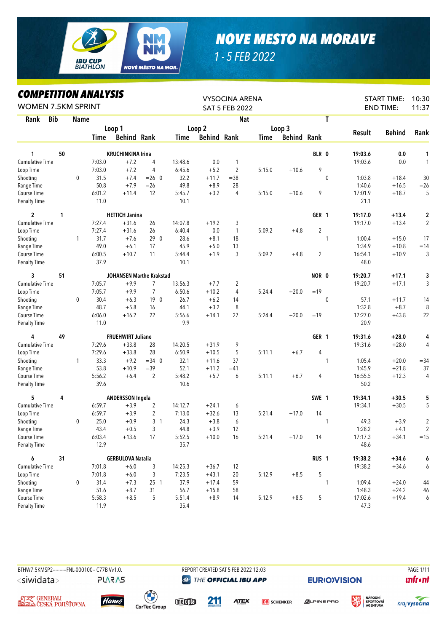

## *NOVE MESTO NA MORAVE*

*1 - 5 FEB 2022*

## *COMPETITION ANALYSIS*

| LUMPEIIIIUN ANALYƏIƏ<br><b>WOMEN 7.5KM SPRINT</b> |    |              |                |                                 |                 |                |                    | <b>VYSOCINA ARENA</b><br><b>SAT 5 FEB 2022</b> |        |                    |                  |              |                 | <b>START TIME:</b><br><b>END TIME:</b> | 10:30<br>11:37 |
|---------------------------------------------------|----|--------------|----------------|---------------------------------|-----------------|----------------|--------------------|------------------------------------------------|--------|--------------------|------------------|--------------|-----------------|----------------------------------------|----------------|
| <b>Bib</b><br>Rank                                |    | <b>Name</b>  |                |                                 |                 |                |                    | <b>Nat</b>                                     |        |                    |                  | T            |                 |                                        |                |
|                                                   |    |              |                | Loop 1                          |                 |                | Loop 2             |                                                |        | Loop 3             |                  |              |                 |                                        |                |
|                                                   |    |              | Time           | <b>Behind Rank</b>              |                 | Time           | <b>Behind Rank</b> |                                                | Time   | <b>Behind Rank</b> |                  |              | <b>Result</b>   | <b>Behind</b>                          | Rank           |
|                                                   |    |              |                |                                 |                 |                |                    |                                                |        |                    |                  |              |                 |                                        |                |
| 1                                                 | 50 |              |                | <b>KRUCHINKINA Irina</b>        |                 |                |                    |                                                |        |                    | BLR 0            |              | 19:03.6         | 0.0                                    | 1              |
| <b>Cumulative Time</b>                            |    |              | 7:03.0         | $+7.2$                          | 4               | 13:48.6        | 0.0                | 1                                              |        |                    |                  |              | 19:03.6         | 0.0                                    | 1              |
| Loop Time                                         |    |              | 7:03.0         | $+7.2$                          | 4               | 6:45.6         | $+5.2$             | $\overline{c}$                                 | 5:15.0 | $+10.6$            | 9                |              |                 |                                        |                |
| Shooting                                          |    | $\mathbf{0}$ | 31.5           | $+7.4$                          | $= 26 \ 0$      | 32.2           | $+11.7$            | $=$ 38                                         |        |                    |                  | $\mathbf{0}$ | 1:03.8          | $+18.4$                                | 30             |
| Range Time                                        |    |              | 50.8           | $+7.9$                          | $= 26$          | 49.8           | $+8.9$             | 28                                             |        |                    |                  |              | 1:40.6          | $+16.5$                                | $=26$          |
| Course Time<br><b>Penalty Time</b>                |    |              | 6:01.2<br>11.0 | $+11.4$                         | 12              | 5:45.7<br>10.1 | $+3.2$             | 4                                              | 5:15.0 | $+10.6$            | 9                |              | 17:01.9<br>21.1 | $+18.7$                                | 5              |
| $\overline{2}$                                    | 1  |              |                | <b>HETTICH Janina</b>           |                 |                |                    |                                                |        |                    | GER 1            |              | 19:17.0         | $+13.4$                                | 2              |
| <b>Cumulative Time</b>                            |    |              | 7:27.4         | $+31.6$                         | 26              | 14:07.8        | $+19.2$            | 3                                              |        |                    |                  |              | 19:17.0         | $+13.4$                                | $\overline{2}$ |
| Loop Time                                         |    |              | 7:27.4         | $+31.6$                         | 26              | 6:40.4         | 0.0                | $\mathbf{1}$                                   | 5:09.2 | $+4.8$             | $\sqrt{2}$       |              |                 |                                        |                |
| Shooting                                          |    | 1            | 31.7           | $+7.6$                          | 290             | 28.6           | $+8.1$             | 18                                             |        |                    |                  | 1            | 1:00.4          | $+15.0$                                | 17             |
| Range Time                                        |    |              | 49.0           | $+6.1$                          | 17              | 45.9           | $+5.0$             | 13                                             |        |                    |                  |              | 1:34.9          | $+10.8$                                | $=14$          |
| Course Time                                       |    |              | 6:00.5         | $+10.7$                         | 11              | 5:44.4         | $+1.9$             | 3                                              | 5:09.2 | $+4.8$             | $\overline{2}$   |              | 16:54.1         | $+10.9$                                | 3              |
| <b>Penalty Time</b>                               |    |              | 37.9           |                                 |                 | 10.1           |                    |                                                |        |                    |                  |              | 48.0            |                                        |                |
| 3                                                 | 51 |              |                | <b>JOHANSEN Marthe Krakstad</b> |                 |                |                    |                                                |        |                    | NOR 0            |              | 19:20.7         | $+17.1$                                | 3              |
| <b>Cumulative Time</b>                            |    |              | 7:05.7         | $+9.9$                          | 7               | 13:56.3        | $+7.7$             | 2                                              |        |                    |                  |              | 19:20.7         | $+17.1$                                | 3              |
| Loop Time                                         |    |              | 7:05.7         | $+9.9$                          | $\overline{7}$  | 6:50.6         | $+10.2$            | 4                                              | 5:24.4 | $+20.0$            | $=19$            |              |                 |                                        |                |
| Shooting                                          |    | $\mathbf 0$  | 30.4           | $+6.3$                          | 19 <sub>0</sub> | 26.7           | $+6.2$             | 14                                             |        |                    |                  | 0            | 57.1            | $+11.7$                                | 14             |
| Range Time                                        |    |              | 48.7           | $+5.8$                          | 16              | 44.1           | $+3.2$             | 8                                              |        |                    |                  |              | 1:32.8          | $+8.7$                                 | 8              |
| Course Time                                       |    |              | 6:06.0         | $+16.2$                         | 22              | 5:56.6         | $+14.1$            | 27                                             | 5:24.4 | $+20.0$            | $=19$            |              | 17:27.0         | $+43.8$                                | 22             |
| <b>Penalty Time</b>                               |    |              | 11.0           |                                 |                 | 9.9            |                    |                                                |        |                    |                  |              | 20.9            |                                        |                |
| 4                                                 | 49 |              |                | <b>FRUEHWIRT Juliane</b>        |                 |                |                    |                                                |        |                    | GER 1            |              | 19:31.6         | $+28.0$                                | 4              |
| <b>Cumulative Time</b>                            |    |              | 7:29.6         | $+33.8$                         | 28              | 14:20.5        | $+31.9$            | 9                                              |        |                    |                  |              | 19:31.6         | $+28.0$                                | $\overline{4}$ |
| Loop Time                                         |    |              | 7:29.6         | $+33.8$                         | 28              | 6:50.9         | $+10.5$            | 5                                              | 5:11.1 | $+6.7$             | 4                |              |                 |                                        |                |
| Shooting                                          |    | $\mathbf{1}$ | 33.3           | $+9.2$                          | $=34$ 0         | 32.1           | $+11.6$            | 37                                             |        |                    |                  | 1            | 1:05.4          | $+20.0$                                | $= 34$         |
| Range Time                                        |    |              | 53.8           | $+10.9$                         | $=39$           | 52.1           | $+11.2$            | $=41$                                          |        |                    |                  |              | 1:45.9          | $+21.8$                                | 37             |
| Course Time                                       |    |              | 5:56.2         | $+6.4$                          | $\overline{2}$  | 5:48.2         | $+5.7$             | 6                                              | 5:11.1 | $+6.7$             | 4                |              | 16:55.5         | $+12.3$                                | 4              |
| <b>Penalty Time</b>                               |    |              | 39.6           |                                 |                 | 10.6           |                    |                                                |        |                    |                  |              | 50.2            |                                        |                |
| 5                                                 | 4  |              |                | <b>ANDERSSON Ingela</b>         |                 |                |                    |                                                |        |                    | SWE 1            |              | 19:34.1         | $+30.5$                                | 5              |
| <b>Cumulative Time</b>                            |    |              | 6:59.7         | $+3.9$                          | $\overline{2}$  | 14:12.7        | $+24.1$            | 6                                              |        |                    |                  |              | 19:34.1         | $+30.5$                                | 5              |
| Loop Time                                         |    |              | 6:59.7         | $+3.9$                          | 2               | 7:13.0         | $+32.6$            | 13                                             | 5:21.4 | $+17.0$            | 14               |              |                 |                                        |                |
| Shooting                                          |    | 0            | 25.0           | $+0.9$                          | 3 <sub>1</sub>  | 24.3           | $+3.8$             | 6                                              |        |                    |                  | 1            | 49.3            | $+3.9$                                 | $\sqrt{2}$     |
| Range Time                                        |    |              | 43.4           | $+0.5$                          | 3               | 44.8           | $+3.9$             | 12                                             |        |                    |                  |              | 1:28.2          | $+4.1$                                 | $\mathfrak{D}$ |
| Course Time                                       |    |              | 6:03.4         | $+13.6$                         | 17              | 5:52.5         | $+10.0$            | 16                                             | 5:21.4 | $+17.0$            | 14               |              | 17:17.3         | $+34.1$                                | $=15$          |
| <b>Penalty Time</b>                               |    |              | 12.9           |                                 |                 | 35.7           |                    |                                                |        |                    |                  |              | 48.6            |                                        |                |
| 6                                                 | 31 |              |                | <b>GERBULOVA Natalia</b>        |                 |                |                    |                                                |        |                    | RUS <sub>1</sub> |              | 19:38.2         | $+34.6$                                | 6              |
| <b>Cumulative Time</b>                            |    |              | 7:01.8         | $+6.0$                          | 3               | 14:25.3        | $+36.7$            | 12                                             |        |                    |                  |              | 19:38.2         | $+34.6$                                | 6              |
| Loop Time                                         |    |              | 7:01.8         | $+6.0$                          | 3               | 7:23.5         | $+43.1$            | 20                                             | 5:12.9 | $+8.5$             | 5                |              |                 |                                        |                |
| Shooting                                          |    | 0            | 31.4           | $+7.3$                          | 25 1            | 37.9           | $+17.4$            | 59                                             |        |                    |                  | 1            | 1:09.4          | $+24.0$                                | 44             |
| Range Time                                        |    |              | 51.6           | $+8.7$                          | 31              | 56.7           | $+15.8$            | 58                                             |        |                    |                  |              | 1:48.3          | $+24.2$                                | 46             |
| Course Time                                       |    |              | 5:58.3         | $+8.5$                          | 5               | 5:51.4         | $+8.9$             | 14                                             | 5:12.9 | $+8.5$             | 5                |              | 17:02.6         | $+19.4$                                | 6              |
| <b>Penalty Time</b>                               |    |              | 11.9           |                                 |                 | 35.4           |                    |                                                |        |                    |                  |              | 47.3            |                                        |                |

```
<siwidata>
```
**PLARAS** 

BTHW7.5KMSP2---------FNL-000100-- C77B W1.0. REPORT CREATED SAT 5 FEB 2022 12:03 PAGE 1/11 **@** THE OFFICIAL IBU APP

**EURIO)VISION** 







 $\bigodot^2$ **CarTec Group** 



211

**ATEX DB** SCHENKER  $\triangle$ LPINE PRO



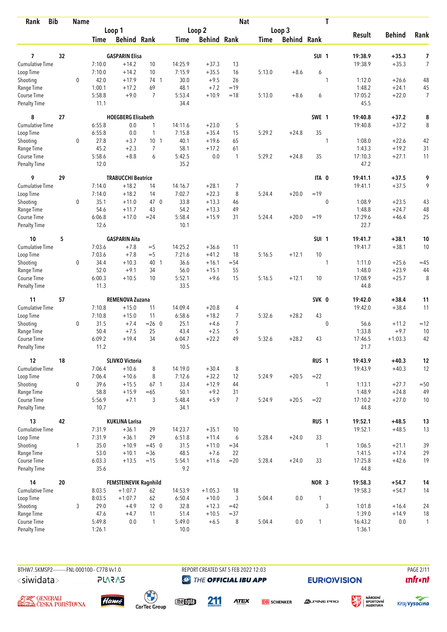| <b>Bib</b><br>Rank                 |    | <b>Name</b> |                |                           |                 |                |                    | <b>Nat</b>     |             |                    |                  | T            |                   |                    |                      |
|------------------------------------|----|-------------|----------------|---------------------------|-----------------|----------------|--------------------|----------------|-------------|--------------------|------------------|--------------|-------------------|--------------------|----------------------|
|                                    |    |             |                | Loop 1                    |                 |                | Loop <sub>2</sub>  |                |             | Loop 3             |                  |              |                   |                    |                      |
|                                    |    |             | <b>Time</b>    | <b>Behind Rank</b>        |                 | Time           | <b>Behind Rank</b> |                | <b>Time</b> | <b>Behind Rank</b> |                  |              | <b>Result</b>     | <b>Behind</b>      | Rank                 |
|                                    |    |             |                |                           |                 |                |                    |                |             |                    |                  |              |                   |                    |                      |
| 7                                  | 32 |             |                | <b>GASPARIN Elisa</b>     |                 |                |                    |                |             |                    | SUI <sub>1</sub> |              | 19:38.9           | $+35.3$            | 7                    |
| <b>Cumulative Time</b>             |    |             | 7:10.0         | $+14.2$                   | 10              | 14:25.9        | $+37.3$            | 13             |             |                    |                  |              | 19:38.9           | $+35.3$            | $\overline{7}$       |
| Loop Time                          |    |             | 7:10.0         | $+14.2$                   | 10              | 7:15.9         | $+35.5$            | 16             | 5:13.0      | $+8.6$             | 6                |              |                   |                    |                      |
| Shooting                           |    | $\mathbf 0$ | 42.0<br>1:00.1 | $+17.9$                   | 74 1<br>69      | 30.0<br>48.1   | $+9.5$             | 26             |             |                    |                  | 1            | 1:12.0<br>1:48.2  | $+26.6$            | 48                   |
| Range Time                         |    |             |                | $+17.2$<br>$+9.0$         | $\overline{7}$  |                | $+7.2$<br>$+10.9$  | $=19$<br>$=18$ |             |                    |                  |              |                   | $+24.1$            | 45<br>$\overline{7}$ |
| Course Time<br><b>Penalty Time</b> |    |             | 5:58.8<br>11.1 |                           |                 | 5:53.4<br>34.4 |                    |                | 5:13.0      | $+8.6$             | 6                |              | 17:05.2<br>45.5   | $+22.0$            |                      |
| 8                                  | 27 |             |                | <b>HOEGBERG Elisabeth</b> |                 |                |                    |                |             |                    | SWE 1            |              | 19:40.8           | $+37.2$            | 8                    |
| Cumulative Time                    |    |             | 6:55.8         | 0.0                       | $\mathbf{1}$    | 14:11.6        | $+23.0$            | 5              |             |                    |                  |              | 19:40.8           | $+37.2$            | 8                    |
| Loop Time                          |    |             | 6:55.8         | 0.0                       | 1               | 7:15.8         | $+35.4$            | 15             | 5:29.2      | $+24.8$            | 35               |              |                   |                    |                      |
| Shooting                           |    | 0           | 27.8           | $+3.7$                    | 10 <sub>1</sub> | 40.1           | $+19.6$            | 65             |             |                    |                  | 1            | 1:08.0            | $+22.6$            | 42                   |
| Range Time                         |    |             | 45.2           | $+2.3$                    | $\overline{7}$  | 58.1           | $+17.2$            | 61             |             |                    |                  |              | 1:43.3            | $+19.2$            | 31                   |
| Course Time                        |    |             | 5:58.6         | $+8.8$                    | 6               | 5:42.5         | $0.0\,$            | $\mathbf{1}$   | 5:29.2      | $+24.8$            | 35               |              | 17:10.3           | $+27.1$            | 11                   |
| <b>Penalty Time</b>                |    |             | 12.0           |                           |                 | 35.2           |                    |                |             |                    |                  |              | 47.2              |                    |                      |
| 9                                  | 29 |             |                | <b>TRABUCCHI Beatrice</b> |                 |                |                    |                |             |                    | ITA 0            |              | 19:41.1           | $+37.5$            | 9                    |
| Cumulative Time                    |    |             | 7:14.0         | $+18.2$                   | 14              | 14:16.7        | $+28.1$            | 7              |             |                    |                  |              | 19:41.1           | $+37.5$            | 9                    |
| Loop Time                          |    |             | 7:14.0         | $+18.2$                   | 14              | 7:02.7         | $+22.3$            | 8              | 5:24.4      | $+20.0$            | $=19$            |              |                   |                    |                      |
| Shooting                           |    | $\mathbf 0$ | 35.1           | $+11.0$                   | 47 0            | 33.8           | $+13.3$            | 46             |             |                    |                  | $\mathbf 0$  | 1:08.9            | $+23.5$            | 43                   |
| Range Time                         |    |             | 54.6           | $+11.7$                   | 43              | 54.2           | $+13.3$            | 49             |             |                    |                  |              | 1:48.8            | $+24.7$            | 48                   |
| Course Time                        |    |             | 6:06.8         | $+17.0$                   | $= 24$          | 5:58.4         | $+15.9$            | 31             | 5:24.4      | $+20.0$            | $=19$            |              | 17:29.6           | $+46.4$            | 25                   |
| <b>Penalty Time</b>                |    |             | 12.6           |                           |                 | 10.1           |                    |                |             |                    |                  |              | 22.7              |                    |                      |
| 10                                 | 5  |             |                | <b>GASPARIN Aita</b>      |                 |                |                    |                |             |                    | SUI <sub>1</sub> |              | 19:41.7           | $+38.1$            | 10                   |
| <b>Cumulative Time</b>             |    |             | 7:03.6         | $+7.8$                    | $=$ 5           | 14:25.2        | $+36.6$            | 11             |             |                    |                  |              | 19:41.7           | $+38.1$            | 10                   |
| Loop Time                          |    |             | 7:03.6         | $+7.8$                    | $=$ 5           | 7:21.6         | $+41.2$            | 18             | 5:16.5      | $+12.1$            | 10               |              |                   |                    |                      |
| Shooting                           |    | $\mathbf 0$ | 34.4           | $+10.3$                   | 40 1            | 36.6           | $+16.1$            | $= 54$         |             |                    |                  | 1            | 1:11.0            | $+25.6$            | $=45$                |
| Range Time                         |    |             | 52.0           | $+9.1$                    | 34              | 56.0           | $+15.1$            | 55             |             |                    |                  |              | 1:48.0            | $+23.9$            | 44                   |
| Course Time                        |    |             | 6:00.3         | $+10.5$                   | 10              | 5:52.1         | $+9.6$             | 15             | 5:16.5      | $+12.1$            | 10               |              | 17:08.9           | $+25.7$            | 8                    |
| <b>Penalty Time</b>                |    |             | 11.3           |                           |                 | 33.5           |                    |                |             |                    |                  |              | 44.8              |                    |                      |
| 11                                 | 57 |             |                | REMENOVA Zuzana           |                 |                |                    |                |             |                    | SVK 0            |              | 19:42.0           | $+38.4$            | 11                   |
| <b>Cumulative Time</b>             |    |             | 7:10.8         | $+15.0$                   | 11              | 14:09.4        | $+20.8$            | 4              |             |                    |                  |              | 19:42.0           | $+38.4$            | 11                   |
| Loop Time                          |    |             | 7:10.8         | $+15.0$                   | 11              | 6:58.6         | $+18.2$            | 7              | 5:32.6      | $+28.2$            | 43               |              |                   |                    |                      |
| Shooting                           |    | $\mathbf 0$ | 31.5           | $+7.4$                    | $= 26 \ 0$      | 25.1           | $+4.6$             | $\overline{7}$ |             |                    |                  | $\mathbf{0}$ | 56.6              | $+11.2$            | $=12$                |
| Range Time                         |    |             | 50.4           | $+7.5$                    | 25              | 43.4           | $+2.5$             | 5              |             |                    |                  |              | 1:33.8            | $+9.7$             | 10                   |
| Course Time                        |    |             | 6:09.2         | $+19.4$                   | 34              | 6:04.7         | $+22.2$            | 49             | 5:32.6      | $+28.2$            | 43               |              | 17:46.5           | $+1:03.3$          | 42                   |
| <b>Penalty Time</b>                |    |             | 11.2           |                           |                 | 10.5           |                    |                |             |                    |                  |              | 21.7              |                    |                      |
| 12                                 | 18 |             |                | <b>SLIVKO Victoria</b>    |                 |                |                    |                |             |                    | RUS <sub>1</sub> |              | 19:43.9           | $+40.3$            | 12                   |
| Cumulative Time                    |    |             | 7:06.4         | $+10.6$                   | 8               | 14:19.0        | $+30.4$            | 8              |             |                    |                  |              | 19:43.9           | $+40.3$            | 12                   |
| Loop Time                          |    |             | 7:06.4         | $+10.6$                   | 8               | 7:12.6         | $+32.2$            | 12             | 5:24.9      | $+20.5$            | $=22$            |              |                   |                    |                      |
| Shooting                           |    | 0           | 39.6           | $+15.5$                   | 67 <sub>1</sub> | 33.4           | $+12.9$            | 44             |             |                    |                  | 1            | 1:13.1            | $+27.7$            | $=50$                |
| Range Time                         |    |             | 58.8           | $+15.9$                   | $=65$           | 50.1           | $+9.2$             | 31             |             |                    |                  |              | 1:48.9            | $+24.8$            | 49                   |
| Course Time<br>Penalty Time        |    |             | 5:56.9<br>10.7 | $+7.1$                    | 3               | 5:48.4<br>34.1 | $+5.9$             | $\overline{7}$ | 5:24.9      | $+20.5$            | $= 22$           |              | 17:10.2<br>44.8   | $+27.0$            | 10                   |
| 13                                 | 42 |             |                | <b>KUKLINA Larisa</b>     |                 |                |                    |                |             |                    | RUS <sub>1</sub> |              |                   |                    |                      |
| <b>Cumulative Time</b>             |    |             |                |                           |                 |                |                    |                |             |                    |                  |              | 19:52.1           | $+48.5$            | 13                   |
|                                    |    |             | 7:31.9         | $+36.1$<br>$+36.1$        | 29<br>29        | 14:23.7        | $+35.1$            | 10             |             | $+24.0$            | 33               |              | 19:52.1           | $+48.5$            | 13                   |
| Loop Time                          |    |             | 7:31.9         |                           |                 | 6:51.8         | $+11.4$            | 6              | 5:28.4      |                    |                  |              |                   |                    |                      |
| Shooting                           |    | 1           | 35.0<br>53.0   | $+10.9$<br>$+10.1$        | $=45$ 0         | 31.5           | $+11.0$            | $= 34$<br>22   |             |                    |                  | 1            | 1:06.5            | $+21.1$            | 39                   |
| Range Time<br>Course Time          |    |             | 6:03.3         | $+13.5$                   | $= 36$<br>$=15$ | 48.5<br>5:54.1 | $+7.6$<br>$+11.6$  | $= 20$         | 5:28.4      | $+24.0$            | 33               |              | 1:41.5<br>17:25.8 | $+17.4$<br>$+42.6$ | 29<br>19             |
| Penalty Time                       |    |             | 35.6           |                           |                 | 9.2            |                    |                |             |                    |                  |              | 44.8              |                    |                      |
| 14                                 | 20 |             |                | FEMSTEINEVIK Ragnhild     |                 |                |                    |                |             |                    | NOR 3            |              | 19:58.3           | $+54.7$            | 14                   |
| Cumulative Time                    |    |             | 8:03.5         | $+1:07.7$                 | 62              | 14:53.9        | $+1:05.3$          | 18             |             |                    |                  |              | 19:58.3           | $+54.7$            | 14                   |
| Loop Time                          |    |             | 8:03.5         | $+1:07.7$                 | 62              | 6:50.4         | $+10.0$            | $\mathbf{3}$   | 5:04.4      | 0.0                | 1                |              |                   |                    |                      |
| Shooting                           |    | 3           | 29.0           | $+4.9$                    | 12 <sub>0</sub> | 32.8           | $+12.3$            | $=42$          |             |                    |                  | 3            | 1:01.8            | $+16.4$            | 24                   |
| Range Time                         |    |             | 47.6           | $+4.7$                    | 11              | 51.4           | $+10.5$            | $= 37$         |             |                    |                  |              | 1:39.0            | $+14.9$            | 18                   |
| Course Time                        |    |             | 5:49.8         | 0.0                       | $\mathbf{1}$    | 5:49.0         | $+6.5$             | 8              | 5:04.4      | 0.0                | 1                |              | 16:43.2           | $0.0\,$            | 1                    |
| Penalty Time                       |    |             | 1:26.1         |                           |                 | 10.0           |                    |                |             |                    |                  |              | 1:36.1            |                    |                      |

**PLARAS** 

BTHW7.5KMSP2---------FNL-000100-- C77B W1.0. REPORT CREATED SAT 5 FEB 2022 12:03 PAGE 2011 **@** THE OFFICIAL IBU APP

**EURIO)VISION** 

姿

 $\mathbf{u}$ front







meona

211 **ATEX** 

**DB** SCHENKER



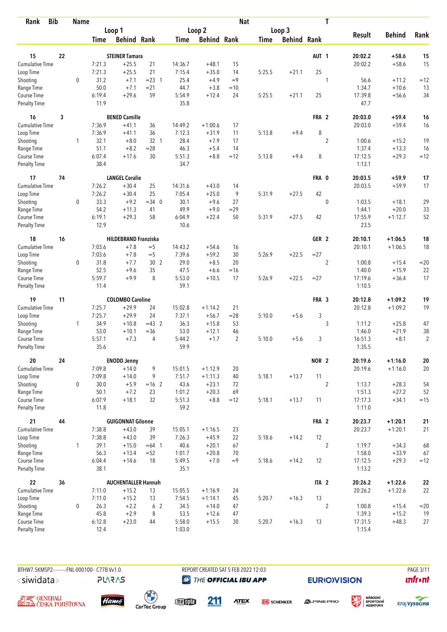| <b>Bib</b><br>Rank     |    | <b>Name</b>  |                  |                             |                |                |                      | <b>Nat</b>     |             |                    |                  | T                |               |               |                |
|------------------------|----|--------------|------------------|-----------------------------|----------------|----------------|----------------------|----------------|-------------|--------------------|------------------|------------------|---------------|---------------|----------------|
|                        |    |              |                  | Loop 1                      |                |                | Loop 2               |                |             | Loop 3             |                  |                  |               |               |                |
|                        |    |              | Time             | <b>Behind Rank</b>          |                | Time           | <b>Behind Rank</b>   |                | <b>Time</b> | <b>Behind Rank</b> |                  |                  | <b>Result</b> | <b>Behind</b> | Rank           |
| 15                     | 22 |              |                  | <b>STEINER Tamara</b>       |                |                |                      |                |             |                    | AUT <sub>1</sub> |                  | 20:02.2       | $+58.6$       | 15             |
| <b>Cumulative Time</b> |    |              | 7:21.3           | $+25.5$                     | 21             | 14:36.7        | $+48.1$              | 15             |             |                    |                  |                  | 20:02.2       | $+58.6$       | 15             |
| Loop Time              |    |              | 7:21.3           | $+25.5$                     | 21             | 7:15.4         | $+35.0$              | 14             | 5:25.5      | $+21.1$            | 25               |                  |               |               |                |
| Shooting               |    | $\mathbf 0$  | 31.2             | $+7.1$                      | $= 23 \quad 1$ | 25.4           | $+4.9$               | $=9$           |             |                    |                  | 1                | 56.6          | $+11.2$       | $=12$          |
| Range Time             |    |              | 50.0             | $+7.1$                      | $= 21$         | 44.7           | $+3.8$               | $=10$          |             |                    |                  |                  | 1:34.7        | $+10.6$       | 13             |
| Course Time            |    |              | 6:19.4           | $+29.6$                     | 59             | 5:54.9         | $+12.4$              | 24             | 5:25.5      | $+21.1$            | 25               |                  | 17:39.8       | $+56.6$       | 34             |
| <b>Penalty Time</b>    |    |              | 11.9             |                             |                | 35.8           |                      |                |             |                    |                  |                  | 47.7          |               |                |
| 16                     | 3  |              |                  | <b>BENED Camille</b>        |                |                |                      |                |             |                    | FRA 2            |                  | 20:03.0       | $+59.4$       | 16             |
| <b>Cumulative Time</b> |    |              | 7:36.9           | $+41.1$                     | 36             | 14:49.2        | $+1:00.6$            | 17             |             |                    |                  |                  | 20:03.0       | $+59.4$       | 16             |
| Loop Time              |    |              | 7:36.9           | $+41.1$                     | 36             | 7:12.3         | $+31.9$              | 11             | 5:13.8      | $+9.4$             | 8                |                  |               |               |                |
| Shooting               |    | $\mathbf{1}$ | 32.1             | $+8.0$                      | 32 1           | 28.4           | $+7.9$               | 17             |             |                    |                  | $\overline{2}$   | 1:00.6        | $+15.2$       | 19             |
| Range Time             |    |              | 51.1             | $+8.2$                      | $=28$          | 46.3           | $+5.4$               | 14             |             |                    |                  |                  | 1:37.4        | $+13.3$       | 16             |
| Course Time            |    |              | 6:07.4           | $+17.6$                     | 30             | 5:51.3         | $+8.8$               | $=12$          | 5:13.8      | $+9.4$             | 8                |                  | 17:12.5       | $+29.3$       | $=12$          |
| Penalty Time           |    |              | 38.4             |                             |                | 34.7           |                      |                |             |                    |                  |                  | 1:13.1        |               |                |
| 17                     | 74 |              |                  | <b>LANGEL Coralie</b>       |                |                |                      |                |             |                    | FRA 0            |                  | 20:03.5       | $+59.9$       | 17             |
| <b>Cumulative Time</b> |    |              | 7:26.2           | $+30.4$                     | 25             | 14:31.6        | $+43.0$              | 14             |             |                    |                  |                  | 20:03.5       | $+59.9$       | 17             |
| Loop Time              |    |              | 7:26.2           | $+30.4$                     | 25             | 7:05.4         | $+25.0$              | 9              | 5:31.9      | $+27.5$            | 42               |                  |               |               |                |
| Shooting               |    | 0            | 33.3             | $+9.2$                      | $=34$ 0        | 30.1           | $+9.6$               | 27             |             |                    |                  | $\mathbf 0$      | 1:03.5        | $+18.1$       | 29             |
| Range Time             |    |              | 54.2             | $+11.3$                     | 41             | 49.9           | $+9.0$               | $=29$          |             |                    |                  |                  | 1:44.1        | $+20.0$       | 33             |
| Course Time            |    |              | 6:19.1           | $+29.3$                     | 58             | 6:04.9         | $+22.4$              | 50             | 5:31.9      | $+27.5$            | 42               |                  | 17:55.9       | $+1:12.7$     | 52             |
| <b>Penalty Time</b>    |    |              | 12.9             |                             |                | 10.6           |                      |                |             |                    |                  |                  | 23.5          |               |                |
| 18                     | 16 |              |                  | <b>HILDEBRAND Franziska</b> |                |                |                      |                |             |                    | GER <sub>2</sub> |                  | 20:10.1       | $+1:06.5$     | 18             |
| <b>Cumulative Time</b> |    |              | 7:03.6           | $+7.8$                      | $=$ 5          | 14:43.2        | $+54.6$              | 16             |             |                    |                  |                  | 20:10.1       | $+1:06.5$     | 18             |
| Loop Time              |    |              | 7:03.6           | $+7.8$                      | $=$ 5          | 7:39.6         | $+59.2$              | 30             | 5:26.9      | $+22.5$            | $=27$            |                  |               |               |                |
| Shooting               |    | 0            | 31.8             | $+7.7$                      | 30 2           | 29.0           | $+8.5$               | 20             |             |                    |                  | $\overline{2}$   | 1:00.8        | $+15.4$       | $=20$          |
| Range Time             |    |              | 52.5             | $+9.6$                      | 35             | 47.5           | $+6.6$               | $=16$          |             |                    |                  |                  | 1:40.0        | $+15.9$       | 22             |
| Course Time            |    |              | 5:59.7           | $+9.9$                      | 8              | 5:53.0         | $+10.5$              | 17             | 5:26.9      | $+22.5$            | $= 27$           |                  | 17:19.6       | $+36.4$       | 17             |
| <b>Penalty Time</b>    |    |              | 11.4             |                             |                | 59.1           |                      |                |             |                    |                  |                  | 1:10.5        |               |                |
| 19                     | 11 |              |                  | <b>COLOMBO Caroline</b>     |                |                |                      |                |             |                    | FRA 3            |                  | 20:12.8       | $+1:09.2$     | 19             |
| <b>Cumulative Time</b> |    |              | 7:25.7           | $+29.9$                     | 24             | 15:02.8        | $+1:14.2$            | 21             |             |                    |                  |                  | 20:12.8       | $+1:09.2$     | 19             |
| Loop Time              |    |              | 7:25.7           | $+29.9$                     | 24             | 7:37.1         | $+56.7$              | $= 28$         | 5:10.0      | $+5.6$             | 3                |                  |               |               |                |
| Shooting               |    | 1            | 34.9             | $+10.8$                     | $=43$ 2        | 36.3           | $+15.8$              | 53             |             |                    |                  | 3                | 1:11.2        | $+25.8$       | 47             |
| Range Time             |    |              | 53.0             | $+10.1$                     | $= 36$         | 53.0           | $+12.1$              | 46             |             |                    |                  |                  | 1:46.0        | $+21.9$       | 38             |
| Course Time            |    |              | 5:57.1           | $+7.3$                      | 4              | 5:44.2         | $+1.7$               | $\overline{2}$ | 5:10.0      | $+5.6$             | 3                |                  | 16:51.3       | $+8.1$        | $\overline{2}$ |
| <b>Penalty Time</b>    |    |              | 35.6             |                             |                | 59.9           |                      |                |             |                    |                  |                  | 1:35.5        |               |                |
| 20<br>Cumulative Time  | 24 |              |                  | <b>ENODD Jenny</b>          |                | 15:01.5        |                      |                |             |                    | NOR <sub>2</sub> |                  | 20:19.6       | $+1:16.0$     | ${\bf 20}$     |
| Loop Time              |    |              | 7:09.8<br>7:09.8 | $+14.0$<br>$+14.0$          | 9<br>9         |                | $+1:12.9$            | 20             |             |                    | 11               |                  | 20:19.6       | $+1:16.0$     | $20\,$         |
| Shooting               |    | 0            | 30.0             | $+5.9$                      | $=16$ 2        | 7:51.7<br>43.6 | $+1:11.3$<br>$+23.1$ | 40<br>72       | 5:18.1      | $+13.7$            |                  | $\overline{2}$   | 1:13.7        | $+28.3$       | 54             |
| Range Time             |    |              | 50.1             | $+7.2$                      | 23             | 1:01.2         | $+20.3$              | 69             |             |                    |                  |                  | 1:51.3        | $+27.2$       | 52             |
| Course Time            |    |              | 6:07.9           | $+18.1$                     | 32             | 5:51.3         | $+8.8$               | $=12$          | 5:18.1      | $+13.7$            | 11               |                  | 17:17.3       | $+34.1$       | $=15$          |
| Penalty Time           |    |              | 11.8             |                             |                | 59.2           |                      |                |             |                    |                  |                  | 1:11.0        |               |                |
| 21                     | 44 |              |                  | <b>GUIGONNAT Gilonne</b>    |                |                |                      |                |             |                    | FRA 2            |                  | 20:23.7       | $+1:20.1$     | 21             |
| Cumulative Time        |    |              | 7:38.8           | $+43.0$                     | 39             | 15:05.1        | $+1:16.5$            | 23             |             |                    |                  |                  | 20:23.7       | $+1:20.1$     | 21             |
| Loop Time              |    |              | 7:38.8           | $+43.0$                     | 39             | 7:26.3         | $+45.9$              | 22             | 5:18.6      | $+14.2$            | 12               |                  |               |               |                |
| Shooting               |    | 1            | 39.1             | $+15.0$                     | $=64$ 1        | 40.6           | $+20.1$              | 67             |             |                    |                  | $\overline{2}$   | 1:19.7        | $+34.3$       | 68             |
| Range Time             |    |              | 56.3             | $+13.4$                     | $=52$          | 1:01.7         | $+20.8$              | 70             |             |                    |                  |                  | 1:58.0        | $+33.9$       | 67             |
| Course Time            |    |              | 6:04.4           | $+14.6$                     | 18             | 5:49.5         | $+7.0$               | $=9$           | 5:18.6      | $+14.2$            | 12               |                  | 17:12.5       | $+29.3$       | $=12$          |
| Penalty Time           |    |              | 38.1             |                             |                | 35.1           |                      |                |             |                    |                  |                  | 1:13.2        |               |                |
| 22                     | 36 |              |                  | <b>AUCHENTALLER Hannah</b>  |                |                |                      |                |             |                    | ITA <sub>2</sub> |                  | 20:26.2       | $+1:22.6$     | ${\bf 22}$     |
| Cumulative Time        |    |              | 7:11.0           | $+15.2$                     | 13             | 15:05.5        | $+1:16.9$            | 24             |             |                    |                  |                  | 20:26.2       | $+1:22.6$     | 22             |
| Loop Time              |    |              | 7:11.0           | $+15.2$                     | 13             | 7:54.5         | $+1:14.1$            | 45             | 5:20.7      | $+16.3$            | 13               |                  |               |               |                |
| Shooting               |    | 0            | 26.3             | $+2.2$                      | 6 <sub>2</sub> | 34.5           | $+14.0$              | 47             |             |                    |                  | $\boldsymbol{2}$ | 1:00.8        | $+15.4$       | $=20$          |
| Range Time             |    |              | 45.8             | $+2.9$                      | 8              | 53.5           | $+12.6$              | 47             |             |                    |                  |                  | 1:39.3        | $+15.2$       | 19             |
| Course Time            |    |              | 6:12.8           | $+23.0$                     | 44             | 5:58.0         | $+15.5$              | 30             | 5:20.7      | $+16.3$            | 13               |                  | 17:31.5       | $+48.3$       | 27             |
| <b>Penalty Time</b>    |    |              | 12.4             |                             |                | 1:03.0         |                      |                |             |                    |                  |                  | 1:15.4        |               |                |

BTHW7.5KMSP2---------FNL-000100-- C77B W1.0. REPORT CREATED SAT 5 FEB 2022 12:03 PAGE 3/11 **@** THE OFFICIAL IBU APP

**EURIO)VISION** 





**AJ EZ** GENERALI<br>**GLODA** ČESKÁ POJIŠŤOVNA



**PLARAS** 

 $\begin{pmatrix} 1 \\ 1 \end{pmatrix}$ <br>CarTec Group

meona 211

**ATEX DB** SCHENKER

**ALPINE PRO** 



姿

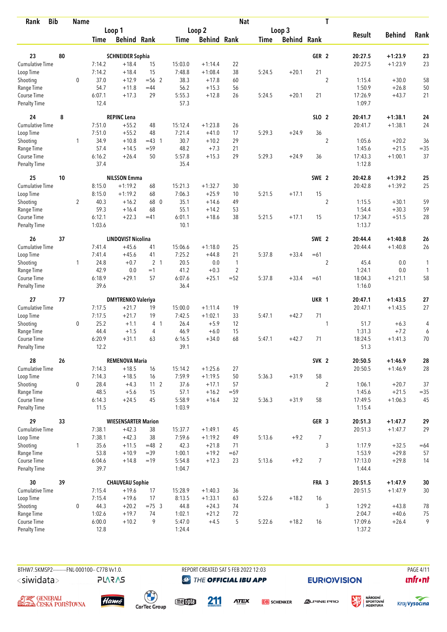| <b>Bib</b><br>Rank           |    | <b>Name</b>    |                  |                            |                 |                   |                        | <b>Nat</b>     |             |                    |                  | $\mathbf T$      |                   |                        |              |
|------------------------------|----|----------------|------------------|----------------------------|-----------------|-------------------|------------------------|----------------|-------------|--------------------|------------------|------------------|-------------------|------------------------|--------------|
|                              |    |                |                  | Loop 1                     |                 |                   | Loop <sub>2</sub>      |                |             | Loop 3             |                  |                  |                   |                        |              |
|                              |    |                | <b>Time</b>      | <b>Behind Rank</b>         |                 | Time              | <b>Behind Rank</b>     |                | <b>Time</b> | <b>Behind Rank</b> |                  |                  | <b>Result</b>     | <b>Behind</b>          | Rank         |
| 23                           | 80 |                |                  | <b>SCHNEIDER Sophia</b>    |                 |                   |                        |                |             |                    | GER <sub>2</sub> |                  | 20:27.5           | $+1:23.9$              | 23           |
| <b>Cumulative Time</b>       |    |                | 7:14.2           | $+18.4$                    | 15              | 15:03.0           | $+1:14.4$              | 22             |             |                    |                  |                  | 20:27.5           | $+1:23.9$              | 23           |
| Loop Time                    |    |                | 7:14.2           | $+18.4$                    | 15              | 7:48.8            | $+1:08.4$              | 38             | 5:24.5      | $+20.1$            | 21               |                  |                   |                        |              |
| Shooting                     |    | $\mathbf 0$    | 37.0             | $+12.9$                    | $= 56$ 2        | 38.3              | $+17.8$                | 60             |             |                    |                  | $\overline{2}$   | 1:15.4            | $+30.0$                | 58           |
| Range Time                   |    |                | 54.7             | $+11.8$                    | $=44$           | 56.2              | $+15.3$                | 56             |             |                    |                  |                  | 1:50.9            | $+26.8$                | 50           |
| Course Time                  |    |                | 6:07.1           | $+17.3$                    | 29              | 5:55.3            | $+12.8$                | 26             | 5:24.5      | $+20.1$            | 21               |                  | 17:26.9           | $+43.7$                | 21           |
| <b>Penalty Time</b>          |    |                | 12.4             |                            |                 | 57.3              |                        |                |             |                    |                  |                  | 1:09.7            |                        |              |
| 24                           | 8  |                |                  | <b>REPINC Lena</b>         |                 |                   |                        |                |             |                    | SLO 2            |                  | 20:41.7           | $+1:38.1$              | 24           |
| <b>Cumulative Time</b>       |    |                | 7:51.0           | $+55.2$                    | 48              | 15:12.4           | $+1:23.8$              | 26             |             |                    |                  |                  | 20:41.7           | $+1:38.1$              | 24           |
| Loop Time                    |    |                | 7:51.0           | $+55.2$                    | 48              | 7:21.4            | $+41.0$                | 17             | 5:29.3      | $+24.9$            | 36               |                  |                   |                        |              |
| Shooting                     |    | $\mathbf{1}$   | 34.9             | $+10.8$                    | $=43$ 1         | 30.7              | $+10.2$                | 29             |             |                    |                  | $\overline{2}$   | 1:05.6            | $+20.2$                | 36           |
| Range Time                   |    |                | 57.4             | $+14.5$                    | $= 59$          | 48.2              | $+7.3$                 | 21             |             |                    |                  |                  | 1:45.6            | $+21.5$                | $= 35$       |
| Course Time                  |    |                | 6:16.2           | $+26.4$                    | 50              | 5:57.8            | $+15.3$                | 29             | 5:29.3      | $+24.9$            | 36               |                  | 17:43.3           | $+1:00.1$              | 37           |
| <b>Penalty Time</b>          |    |                | 37.4             |                            |                 | 35.4              |                        |                |             |                    |                  |                  | 1:12.8            |                        |              |
| 25                           | 10 |                |                  | <b>NILSSON Emma</b>        |                 |                   |                        |                |             |                    | SWE <sub>2</sub> |                  | 20:42.8           | $+1:39.2$              | 25           |
| <b>Cumulative Time</b>       |    |                | 8:15.0           | $+1:19.2$                  | 68              | 15:21.3           | $+1:32.7$              | 30             |             |                    |                  |                  | 20:42.8           | $+1:39.2$              | 25           |
| Loop Time                    |    |                | 8:15.0           | $+1:19.2$                  | 68              | 7:06.3            | $+25.9$                | 10             | 5:21.5      | $+17.1$            | 15               |                  |                   |                        |              |
| Shooting                     |    | $\overline{2}$ | 40.3             | $+16.2$                    | 68 0            | 35.1              | $+14.6$                | 49             |             |                    |                  | $\boldsymbol{2}$ | 1:15.5            | $+30.1$                | 59           |
| Range Time                   |    |                | 59.3             | $+16.4$                    | 68              | 55.1              | $+14.2$                | 53             |             |                    |                  |                  | 1:54.4            | $+30.3$                | 59           |
| Course Time                  |    |                | 6:12.1           | $+22.3$                    | $=41$           | 6:01.1            | $+18.6$                | 38             | 5:21.5      | $+17.1$            | 15               |                  | 17:34.7           | $+51.5$                | 28           |
| <b>Penalty Time</b>          |    |                | 1:03.6           |                            |                 | 10.1              |                        |                |             |                    |                  |                  | 1:13.7            |                        |              |
| 26                           | 37 |                |                  | <b>LINDQVIST Nicolina</b>  |                 |                   |                        |                |             |                    | SWE 2            |                  | 20:44.4           | $+1:40.8$              | 26           |
| Cumulative Time              |    |                | 7:41.4           | $+45.6$                    | 41              | 15:06.6           | $+1:18.0$              | 25             |             |                    |                  |                  | 20:44.4           | $+1:40.8$              | 26           |
| Loop Time                    |    |                | 7:41.4           | $+45.6$                    | 41              | 7:25.2            | $+44.8$                | 21             | 5:37.8      | $+33.4$            | $=61$            |                  |                   |                        |              |
| Shooting                     |    | $\mathbf{1}$   | 24.8             | $+0.7$                     | 2 <sub>1</sub>  | 20.5              | 0.0                    | $\mathbf{1}$   |             |                    |                  | $\overline{2}$   | 45.4              | 0.0                    | 1            |
| Range Time                   |    |                | 42.9             | 0.0                        | $=1$            | 41.2              | $+0.3$                 | $\overline{2}$ |             |                    |                  |                  | 1:24.1            | 0.0                    | $\mathbf{1}$ |
| Course Time                  |    |                | 6:18.9           | $+29.1$                    | 57              | 6:07.6            | $+25.1$                | $=52$          | 5:37.8      | $+33.4$            | $=61$            |                  | 18:04.3           | $+1:21.1$              | 58           |
| <b>Penalty Time</b>          |    |                | 39.6             |                            |                 | 36.4              |                        |                |             |                    |                  |                  | 1:16.0            |                        |              |
| 27                           | 77 |                |                  | <b>DMYTRENKO Valeriya</b>  |                 |                   |                        |                |             |                    | UKR 1            |                  | 20:47.1           | $+1:43.5$              | 27           |
| <b>Cumulative Time</b>       |    |                | 7:17.5           | $+21.7$                    | 19              | 15:00.0           | $+1:11.4$              | 19             |             |                    |                  |                  | 20:47.1           | $+1:43.5$              | 27           |
| Loop Time                    |    |                | 7:17.5           | $+21.7$                    | 19              | 7:42.5            | $+1:02.1$              | 33             | 5:47.1      | $+42.7$            | 71               |                  |                   |                        |              |
| Shooting                     |    | $\mathbf 0$    | 25.2             | $+1.1$                     | 4 <sub>1</sub>  | 26.4              | $+5.9$                 | 12             |             |                    |                  | 1                | 51.7              | $+6.3$                 | 4            |
| Range Time                   |    |                | 44.4             | $+1.5$                     | 4               | 46.9              | $+6.0$                 | 15             |             |                    |                  |                  | 1:31.3            | $+7.2$                 | 6            |
| Course Time                  |    |                | 6:20.9           | $+31.1$                    | 63              | 6:16.5            | $+34.0$                | 68             | 5:47.1      | $+42.7$            | 71               |                  | 18:24.5           | $+1:41.3$              | 70           |
| <b>Penalty Time</b>          |    |                | 12.2             |                            |                 | 39.1              |                        |                |             |                    |                  |                  | 51.3              |                        |              |
| 28                           | 26 |                |                  | <b>REMENOVA Maria</b>      |                 |                   |                        |                |             |                    | SVK <sub>2</sub> |                  | 20:50.5           | $+1:46.9$              | 28           |
| <b>Cumulative Time</b>       |    |                | 7:14.3           | $+18.5$                    | 16              | 15:14.2           | $+1:25.6$              | 27             |             |                    |                  |                  | 20:50.5           | $+1:46.9$              | 28           |
| Loop Time                    |    |                | 7:14.3           | $+18.5$                    | 16              | 7:59.9            | $+1:19.5$              | 50             | 5:36.3      | $+31.9$            | 58               |                  |                   |                        |              |
| Shooting                     |    | 0              | 28.4             | $+4.3$                     | 11 <sub>2</sub> | 37.6              | $+17.1$                | 57             |             |                    |                  | $\overline{2}$   | 1:06.1            | $+20.7$                | 37           |
| Range Time                   |    |                | 48.5             | $+5.6$                     | 15              | 57.1              | $+16.2$                | $= 59$         |             |                    |                  |                  | 1:45.6            | $+21.5$                | $= 35$       |
| Course Time<br>Penalty Time  |    |                | 6:14.3<br>11.5   | $+24.5$                    | 45              | 5:58.9<br>1:03.9  | $+16.4$                | 32             | 5:36.3      | $+31.9$            | 58               |                  | 17:49.5<br>1:15.4 | $+1:06.3$              | 45           |
|                              |    |                |                  |                            |                 |                   |                        |                |             |                    |                  |                  |                   |                        |              |
| 29<br><b>Cumulative Time</b> | 33 |                |                  | <b>WIESENSARTER Marion</b> |                 |                   |                        |                |             |                    | GER <sub>3</sub> |                  | 20:51.3           | $+1:47.7$<br>$+1:47.7$ | 29           |
| Loop Time                    |    |                | 7:38.1<br>7:38.1 | $+42.3$<br>$+42.3$         | 38<br>38        | 15:37.7<br>7:59.6 | $+1:49.1$<br>$+1:19.2$ | 45<br>49       | 5:13.6      | $+9.2$             | 7                |                  | 20:51.3           |                        | 29           |
| Shooting                     |    | $\mathbf{1}$   | 35.6             | $+11.5$                    | $=48$ 2         | 42.3              | $+21.8$                | 71             |             |                    |                  | 3                | 1:17.9            | $+32.5$                | $=64$        |
| Range Time                   |    |                | 53.8             | $+10.9$                    | $=39$           | 1:00.1            | $+19.2$                | $=67$          |             |                    |                  |                  | 1:53.9            | $+29.8$                | 57           |
| Course Time                  |    |                | 6:04.6           | $+14.8$                    | $=19$           | 5:54.8            | $+12.3$                | 23             | 5:13.6      | $+9.2$             | $\overline{7}$   |                  | 17:13.0           | $+29.8$                | 14           |
| Penalty Time                 |    |                | 39.7             |                            |                 | 1:04.7            |                        |                |             |                    |                  |                  | 1:44.4            |                        |              |
| 30                           | 39 |                |                  | <b>CHAUVEAU Sophie</b>     |                 |                   |                        |                |             |                    | FRA 3            |                  | 20:51.5           | $+1:47.9$              | $30\,$       |
| Cumulative Time              |    |                | 7:15.4           | $+19.6$                    | 17              | 15:28.9           | $+1:40.3$              | 36             |             |                    |                  |                  | 20:51.5           | $+1:47.9$              | $30\,$       |
| Loop Time                    |    |                | 7:15.4           | $+19.6$                    | 17              | 8:13.5            | $+1:33.1$              | 63             | 5:22.6      | $+18.2$            | 16               |                  |                   |                        |              |
| Shooting                     |    | 0              | 44.3             | $+20.2$                    | $=75.3$         | 44.8              | $+24.3$                | 74             |             |                    |                  | 3                | 1:29.2            | $+43.8$                | 78           |
| Range Time                   |    |                | 1:02.6           | $+19.7$                    | 74              | 1:02.1            | $+21.2$                | 72             |             |                    |                  |                  | 2:04.7            | $+40.6$                | 75           |
| Course Time                  |    |                | 6:00.0           | $+10.2$                    | 9               | 5:47.0            | $+4.5$                 | 5              | 5:22.6      | $+18.2$            | 16               |                  | 17:09.6           | $+26.4$                | 9            |
| Penalty Time                 |    |                | 12.8             |                            |                 | 1:24.4            |                        |                |             |                    |                  |                  | 1:37.2            |                        |              |

BTHW7.5KMSP2----------FNL-000100-- C77B Vv1.0. <siwidata>

**PLARAS** 

REPORT CREATED SAT 5 FEB 2022 12:03 **@** THE OFFICIAL IBU APP

**EURIO)VISION** 

**PAGE 4/11**  $\mathbf{u}$ front





meona

211

**ATEX DB** SCHENKER

**ALPINE PRO** 



姿

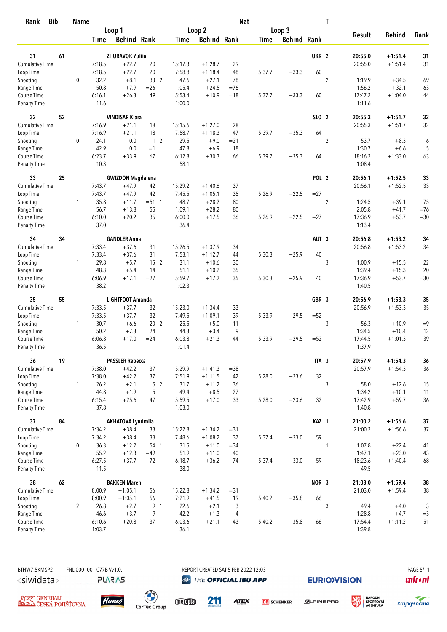| <b>Bib</b><br>Rank                 |    | <b>Name</b>    |                |                          |                       |                  |                      | <b>Nat</b>     |             |                    |                  | $\mathbf T$      |                   |               |        |
|------------------------------------|----|----------------|----------------|--------------------------|-----------------------|------------------|----------------------|----------------|-------------|--------------------|------------------|------------------|-------------------|---------------|--------|
|                                    |    |                |                | Loop 1                   |                       |                  | Loop <sub>2</sub>    |                |             | Loop 3             |                  |                  |                   |               |        |
|                                    |    |                | <b>Time</b>    | <b>Behind Rank</b>       |                       | Time             | <b>Behind Rank</b>   |                | <b>Time</b> | <b>Behind Rank</b> |                  |                  | <b>Result</b>     | <b>Behind</b> | Rank   |
| 31                                 | 61 |                |                | <b>ZHURAVOK Yuliia</b>   |                       |                  |                      |                |             |                    | UKR <sub>2</sub> |                  | 20:55.0           | $+1:51.4$     | 31     |
| <b>Cumulative Time</b>             |    |                | 7:18.5         | $+22.7$                  | 20                    | 15:17.3          | $+1:28.7$            | 29             |             |                    |                  |                  | 20:55.0           | $+1:51.4$     | 31     |
| Loop Time                          |    |                | 7:18.5         | $+22.7$                  | 20                    | 7:58.8           | $+1:18.4$            | 48             | 5:37.7      | $+33.3$            | 60               |                  |                   |               |        |
| Shooting                           |    | $\mathbf 0$    | 32.2           | $+8.1$                   | 33 2                  | 47.6             | $+27.1$              | 78             |             |                    |                  | $\overline{2}$   | 1:19.9            | $+34.5$       | 69     |
| Range Time                         |    |                | 50.8           | $+7.9$                   | $=26$                 | 1:05.4           | $+24.5$              | $=76$          |             |                    |                  |                  | 1:56.2            | $+32.1$       | 63     |
| Course Time                        |    |                | 6:16.1         | $+26.3$                  | 49                    | 5:53.4           | $+10.9$              | $=18$          | 5:37.7      | $+33.3$            | 60               |                  | 17:47.2           | $+1:04.0$     | 44     |
| <b>Penalty Time</b>                |    |                | 11.6           |                          |                       | 1:00.0           |                      |                |             |                    |                  |                  | 1:11.6            |               |        |
| 32                                 | 52 |                |                | <b>VINDISAR Klara</b>    |                       |                  |                      |                |             |                    | SLO 2            |                  | 20:55.3           | $+1:51.7$     | 32     |
| Cumulative Time                    |    |                | 7:16.9         | $+21.1$                  | 18                    | 15:15.6          | $+1:27.0$            | 28             |             |                    |                  |                  | 20:55.3           | $+1:51.7$     | 32     |
| Loop Time                          |    |                | 7:16.9         | $+21.1$                  | 18                    | 7:58.7           | $+1:18.3$            | 47             | 5:39.7      | $+35.3$            | 64               |                  |                   |               |        |
| Shooting                           |    | $\mathbf 0$    | 24.1           | 0.0                      | 1 <sup>2</sup>        | 29.5             | $+9.0$               | $= 21$         |             |                    |                  | $\overline{2}$   | 53.7              | $+8.3$        | 6      |
| Range Time                         |    |                | 42.9           | 0.0                      | $=1$                  | 47.8             | $+6.9$               | 18             |             |                    |                  |                  | 1:30.7            | $+6.6$        | 5      |
| Course Time                        |    |                | 6:23.7         | $+33.9$                  | 67                    | 6:12.8           | $+30.3$              | 66             | 5:39.7      | $+35.3$            | 64               |                  | 18:16.2           | $+1:33.0$     | 63     |
| <b>Penalty Time</b>                |    |                | 10.3           |                          |                       | 58.1             |                      |                |             |                    |                  |                  | 1:08.4            |               |        |
| 33                                 | 25 |                |                | <b>GWIZDON Magdalena</b> |                       |                  |                      |                |             |                    | POL <sub>2</sub> |                  | 20:56.1           | $+1:52.5$     | 33     |
| <b>Cumulative Time</b>             |    |                | 7:43.7         | $+47.9$                  | 42                    | 15:29.2          | $+1:40.6$            | 37             |             |                    |                  |                  | 20:56.1           | $+1:52.5$     | 33     |
| Loop Time                          |    |                | 7:43.7         | $+47.9$                  | 42                    | 7:45.5           | $+1:05.1$            | 35             | 5:26.9      | $+22.5$            | $= 27$           |                  |                   |               |        |
| Shooting                           |    | $\mathbf{1}$   | 35.8           | $+11.7$                  | $= 51$ 1              | 48.7             | $+28.2$              | 80             |             |                    |                  | $\boldsymbol{2}$ | 1:24.5            | $+39.1$       | 75     |
| Range Time                         |    |                | 56.7           | $+13.8$                  | 55                    | 1:09.1           | $+28.2$              | 80             |             |                    |                  |                  | 2:05.8            | $+41.7$       | $=76$  |
| Course Time<br><b>Penalty Time</b> |    |                | 6:10.0<br>37.0 | $+20.2$                  | 35                    | 6:00.0<br>36.4   | $+17.5$              | 36             | 5:26.9      | $+22.5$            | $= 27$           |                  | 17:36.9<br>1:13.4 | $+53.7$       | $=30$  |
|                                    |    |                |                |                          |                       |                  |                      |                |             |                    |                  |                  |                   |               |        |
| 34                                 | 34 |                |                | <b>GANDLER Anna</b>      |                       |                  |                      |                |             |                    | AUT <sub>3</sub> |                  | 20:56.8           | $+1:53.2$     | 34     |
| Cumulative Time                    |    |                | 7:33.4         | $+37.6$                  | 31                    | 15:26.5          | $+1:37.9$            | 34             |             |                    |                  |                  | 20:56.8           | $+1:53.2$     | 34     |
| Loop Time                          |    | $\mathbf{1}$   | 7:33.4<br>29.8 | $+37.6$<br>$+5.7$        | 31<br>15 <sup>2</sup> | 7:53.1<br>31.1   | $+1:12.7$<br>$+10.6$ | 44<br>30       | 5:30.3      | $+25.9$            | 40               | 3                | 1:00.9            | $+15.5$       | 22     |
| Shooting<br>Range Time             |    |                | 48.3           | $+5.4$                   | 14                    | 51.1             | $+10.2$              | 35             |             |                    |                  |                  | 1:39.4            | $+15.3$       | 20     |
| Course Time                        |    |                | 6:06.9         | $+17.1$                  | $= 27$                | 5:59.7           | $+17.2$              | 35             | 5:30.3      | $+25.9$            | 40               |                  | 17:36.9           | $+53.7$       | $=30$  |
| <b>Penalty Time</b>                |    |                | 38.2           |                          |                       | 1:02.3           |                      |                |             |                    |                  |                  | 1:40.5            |               |        |
| 35                                 | 55 |                |                | LIGHTFOOT Amanda         |                       |                  |                      |                |             |                    | GBR 3            |                  | 20:56.9           | $+1:53.3$     | 35     |
| <b>Cumulative Time</b>             |    |                | 7:33.5         | $+37.7$                  | 32                    | 15:23.0          | $+1:34.4$            | 33             |             |                    |                  |                  | 20:56.9           | $+1:53.3$     | 35     |
| Loop Time                          |    |                | 7:33.5         | $+37.7$                  | 32                    | 7:49.5           | $+1:09.1$            | 39             | 5:33.9      | $+29.5$            | $=52$            |                  |                   |               |        |
| Shooting                           |    | $\mathbf{1}$   | 30.7           | $+6.6$                   | 20 <sub>2</sub>       | 25.5             | $+5.0$               | 11             |             |                    |                  | 3                | 56.3              | $+10.9$       | $=9$   |
| Range Time                         |    |                | 50.2           | $+7.3$                   | 24                    | 44.3             | $+3.4$               | 9              |             |                    |                  |                  | 1:34.5            | $+10.4$       | 12     |
| Course Time                        |    |                | 6:06.8         | $+17.0$                  | $= 24$                | 6:03.8           | $+21.3$              | 44             | 5:33.9      | $+29.5$            | $=52$            |                  | 17:44.5           | $+1:01.3$     | 39     |
| <b>Penalty Time</b>                |    |                | 36.5           |                          |                       | 1:01.4           |                      |                |             |                    |                  |                  | 1:37.9            |               |        |
| 36                                 | 19 |                |                | <b>PASSLER Rebecca</b>   |                       |                  |                      |                |             |                    | ITA <sub>3</sub> |                  | 20:57.9           | $+1:54.3$     | 36     |
| <b>Cumulative Time</b>             |    |                | 7:38.0         | $+42.2$                  | 37                    | 15:29.9          | $+1:41.3$            | $= 38$         |             |                    |                  |                  | 20:57.9           | $+1:54.3$     | 36     |
| Loop Time                          |    |                | 7:38.0         | $+42.2$                  | 37                    | 7:51.9           | $+1:11.5$            | 42             | 5:28.0      | $+23.6$            | 32               |                  |                   |               |        |
| Shooting                           |    | $\mathbf{1}$   | 26.2           | $+2.1$                   | 5 <sub>2</sub>        | 31.7             | $+11.2$              | 36             |             |                    |                  | 3                | 58.0              | $+12.6$       | 15     |
| Range Time                         |    |                | 44.8           | $+1.9$                   | 5                     | 49.4             | $+8.5$               | 27             |             |                    |                  |                  | 1:34.2            | $+10.1$       | 11     |
| Course Time<br>Penalty Time        |    |                | 6:15.4<br>37.8 | $+25.6$                  | 47                    | 5:59.5<br>1:03.0 | $+17.0$              | 33             | 5:28.0      | $+23.6$            | 32               |                  | 17:42.9<br>1:40.8 | $+59.7$       | 36     |
| 37                                 | 84 |                |                | <b>AKHATOVA Lyudmila</b> |                       |                  |                      |                |             |                    | KAZ 1            |                  | 21:00.2           | $+1:56.6$     | $37\,$ |
| <b>Cumulative Time</b>             |    |                | 7:34.2         | $+38.4$                  | 33                    | 15:22.8          | $+1:34.2$            | $= 31$         |             |                    |                  |                  | 21:00.2           | $+1:56.6$     | 37     |
| Loop Time                          |    |                | 7:34.2         | $+38.4$                  | 33                    | 7:48.6           | $+1:08.2$            | 37             | 5:37.4      | $+33.0$            | 59               |                  |                   |               |        |
| Shooting                           |    | 0              | 36.3           | $+12.2$                  | 54 1                  | 31.5             | $+11.0$              | $= 34$         |             |                    |                  | 1                | 1:07.8            | $+22.4$       | 41     |
| Range Time                         |    |                | 55.2           | $+12.3$                  | $=49$                 | 51.9             | $+11.0$              | 40             |             |                    |                  |                  | 1:47.1            | $+23.0$       | 43     |
| Course Time                        |    |                | 6:27.5         | $+37.7$                  | 72                    | 6:18.7           | $+36.2$              | 74             | 5:37.4      | $+33.0$            | 59               |                  | 18:23.6           | $+1:40.4$     | 68     |
| Penalty Time                       |    |                | 11.5           |                          |                       | 38.0             |                      |                |             |                    |                  |                  | 49.5              |               |        |
| 38                                 | 62 |                |                | <b>BAKKEN Maren</b>      |                       |                  |                      |                |             |                    | NOR 3            |                  | 21:03.0           | $+1:59.4$     | 38     |
| <b>Cumulative Time</b>             |    |                | 8:00.9         | $+1:05.1$                | 56                    | 15:22.8          | $+1:34.2$            | $= 31$         |             |                    |                  |                  | 21:03.0           | $+1:59.4$     | $38\,$ |
| Loop Time                          |    |                | 8:00.9         | $+1:05.1$                | 56                    | 7:21.9           | $+41.5$              | 19             | 5:40.2      | $+35.8$            | 66               |                  |                   |               |        |
| Shooting                           |    | $\overline{2}$ | 26.8           | $+2.7$                   | 9 1                   | 22.6             | $+2.1$               | 3              |             |                    |                  | 3                | 49.4              | $+4.0$        | 3      |
| Range Time                         |    |                | 46.6           | $+3.7$                   | 9                     | 42.2             | $+1.3$               | $\overline{4}$ |             |                    |                  |                  | 1:28.8            | $+4.7$        | $=$ 3  |
| Course Time                        |    |                | 6:10.6         | $+20.8$                  | 37                    | 6:03.6           | $+21.1$              | 43             | 5:40.2      | $+35.8$            | 66               |                  | 17:54.4           | $+1:11.2$     | 51     |
| Penalty Time                       |    |                | 1:03.7         |                          |                       | 36.1             |                      |                |             |                    |                  |                  | 1:39.8            |               |        |



**PLARAS** 

REPORT CREATED SAT 5 FEB 2022 12:03 **@** THE OFFICIAL IBU APP

**EURIO)VISION** 

姿

**PAGE 5/11 unfront** 











**DB** SCHENKER



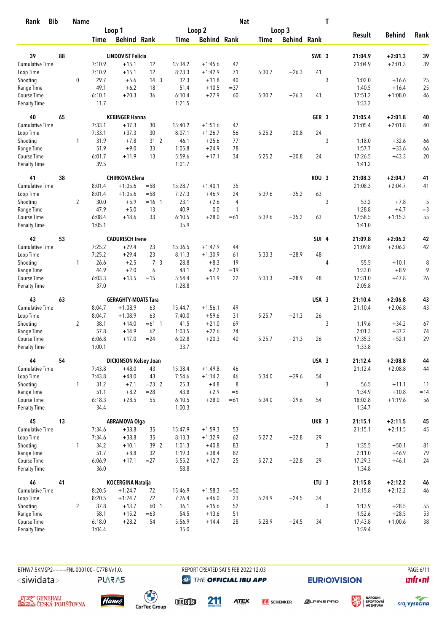| <b>Bib</b><br>Rank          |    | <b>Name</b>    |                |                              |                 |                  |                    | <b>Nat</b>   |             |                    |                  | T |                   |               |            |
|-----------------------------|----|----------------|----------------|------------------------------|-----------------|------------------|--------------------|--------------|-------------|--------------------|------------------|---|-------------------|---------------|------------|
|                             |    |                |                | Loop 1                       |                 |                  | Loop 2             |              |             | Loop 3             |                  |   |                   |               |            |
|                             |    |                | <b>Time</b>    | <b>Behind Rank</b>           |                 | Time             | <b>Behind Rank</b> |              | <b>Time</b> | <b>Behind Rank</b> |                  |   | <b>Result</b>     | <b>Behind</b> | Rank       |
| 39                          | 88 |                |                | <b>LINDQVIST Felicia</b>     |                 |                  |                    |              |             |                    | SWE 3            |   | 21:04.9           | $+2:01.3$     | 39         |
| <b>Cumulative Time</b>      |    |                | 7:10.9         | $+15.1$                      | 12              | 15:34.2          | $+1:45.6$          | 42           |             |                    |                  |   | 21:04.9           | $+2:01.3$     | 39         |
| Loop Time                   |    |                | 7:10.9         | $+15.1$                      | 12              | 8:23.3           | $+1:42.9$          | 71           | 5:30.7      | $+26.3$            | 41               |   |                   |               |            |
| Shooting                    |    | $\mathbf 0$    | 29.7           | $+5.6$                       | 14 <sup>3</sup> | 32.3             | $+11.8$            | 40           |             |                    |                  | 3 | 1:02.0            | $+16.6$       | 25         |
| Range Time                  |    |                | 49.1           | $+6.2$                       | 18              | 51.4             | $+10.5$            | $= 37$       |             |                    |                  |   | 1:40.5            | $+16.4$       | 25         |
| Course Time                 |    |                | 6:10.1         | $+20.3$                      | 36              | 6:10.4           | $+27.9$            | 60           | 5:30.7      | $+26.3$            | 41               |   | 17:51.2           | $+1:08.0$     | 46         |
| <b>Penalty Time</b>         |    |                | 11.7           |                              |                 | 1:21.5           |                    |              |             |                    |                  |   | 1:33.2            |               |            |
| 40                          | 65 |                |                | <b>KEBINGER Hanna</b>        |                 |                  |                    |              |             |                    | GER <sub>3</sub> |   | 21:05.4           | $+2:01.8$     | 40         |
| Cumulative Time             |    |                | 7:33.1         | $+37.3$                      | 30              | 15:40.2          | $+1:51.6$          | 47           |             |                    |                  |   | 21:05.4           | $+2:01.8$     | 40         |
| Loop Time                   |    |                | 7:33.1         | $+37.3$                      | 30              | 8:07.1           | $+1:26.7$          | 56           | 5:25.2      | $+20.8$            | 24               |   |                   |               |            |
| Shooting                    |    | $\mathbf{1}$   | 31.9           | $+7.8$                       | 312             | 46.1             | $+25.6$            | 77           |             |                    |                  | 3 | 1:18.0            | $+32.6$       | 66         |
| Range Time                  |    |                | 51.9           | $+9.0$                       | 33              | 1:05.8           | $+24.9$            | 78           |             |                    |                  |   | 1:57.7            | $+33.6$       | 66         |
| Course Time                 |    |                | 6:01.7         | $+11.9$                      | 13              | 5:59.6           | $+17.1$            | 34           | 5:25.2      | $+20.8$            | 24               |   | 17:26.5           | $+43.3$       | 20         |
| <b>Penalty Time</b>         |    |                | 39.5           |                              |                 | 1:01.7           |                    |              |             |                    |                  |   | 1:41.2            |               |            |
| 41                          | 38 |                |                | <b>CHIRKOVA Elena</b>        |                 |                  |                    |              |             |                    | ROU <sub>3</sub> |   | 21:08.3           | $+2:04.7$     | 41         |
| Cumulative Time             |    |                | 8:01.4         | $+1:05.6$                    | $= 58$          | 15:28.7          | $+1:40.1$          | 35           |             |                    |                  |   | 21:08.3           | $+2:04.7$     | 41         |
| Loop Time                   |    |                | 8:01.4         | $+1:05.6$                    | $= 58$          | 7:27.3           | $+46.9$            | 24           | 5:39.6      | $+35.2$            | 63               |   |                   |               |            |
| Shooting                    |    | $\overline{2}$ | 30.0           | $+5.9$                       | $=16 \quad 1$   | 23.1             | $+2.6$             | 4            |             |                    |                  | 3 | 53.2              | $+7.8$        | $\sqrt{5}$ |
| Range Time                  |    |                | 47.9           | $+5.0$                       | 13              | 40.9             | 0.0                | $\mathbf{1}$ |             |                    |                  |   | 1:28.8            | $+4.7$        | $=$ 3      |
| Course Time                 |    |                | 6:08.4         | $+18.6$                      | 33              | 6:10.5           | $+28.0$            | $=61$        | 5:39.6      | $+35.2$            | 63               |   | 17:58.5           | $+1:15.3$     | 55         |
| Penalty Time                |    |                | 1:05.1         |                              |                 | 35.9             |                    |              |             |                    |                  |   | 1:41.0            |               |            |
| 42                          | 53 |                |                | <b>CADURISCH Irene</b>       |                 |                  |                    |              |             |                    | SUI <sub>4</sub> |   | 21:09.8           | $+2:06.2$     | 42         |
| <b>Cumulative Time</b>      |    |                | 7:25.2         | $+29.4$                      | 23              | 15:36.5          | $+1:47.9$          | 44           |             |                    |                  |   | 21:09.8           | $+2:06.2$     | 42         |
| Loop Time                   |    |                | 7:25.2         | $+29.4$                      | 23              | 8:11.3           | $+1:30.9$          | 61           | 5:33.3      | $+28.9$            | 48               |   |                   |               |            |
| Shooting                    |    | $\mathbf{1}$   | 26.6           | $+2.5$                       | 7 <sub>3</sub>  | 28.8             | $+8.3$             | 19           |             |                    |                  | 4 | 55.5              | $+10.1$       | 8          |
| Range Time                  |    |                | 44.9           | $+2.0$                       | 6               | 48.1             | $+7.2$             | $=19$        |             |                    |                  |   | 1:33.0            | $+8.9$        | 9          |
| Course Time                 |    |                | 6:03.3         | $+13.5$                      | $=15$           | 5:54.4           | $+11.9$            | 22           | 5:33.3      | $+28.9$            | 48               |   | 17:31.0           | $+47.8$       | 26         |
| <b>Penalty Time</b>         |    |                | 37.0           |                              |                 | 1:28.8           |                    |              |             |                    |                  |   | 2:05.8            |               |            |
| 43                          | 63 |                |                | <b>GERAGHTY-MOATS Tara</b>   |                 |                  |                    |              |             |                    | USA 3            |   | 21:10.4           | $+2:06.8$     | 43         |
| Cumulative Time             |    |                | 8:04.7         | $+1:08.9$                    | 63              | 15:44.7          | $+1:56.1$          | 49           |             |                    |                  |   | 21:10.4           | $+2:06.8$     | 43         |
| Loop Time                   |    |                | 8:04.7         | $+1:08.9$                    | 63              | 7:40.0           | $+59.6$            | 31           | 5:25.7      | $+21.3$            | 26               |   |                   |               |            |
| Shooting                    |    | $\overline{2}$ | 38.1           | $+14.0$                      | $=61$ 1         | 41.5             | $+21.0$            | 69           |             |                    |                  | 3 | 1:19.6            | $+34.2$       | 67         |
| Range Time                  |    |                | 57.8           | $+14.9$                      | 62              | 1:03.5           | $+22.6$            | 74           |             |                    |                  |   | 2:01.3            | $+37.2$       | 74         |
| Course Time                 |    |                | 6:06.8         | $+17.0$                      | $= 24$          | 6:02.8           | $+20.3$            | 40           | 5:25.7      | $+21.3$            | 26               |   | 17:35.3           | $+52.1$       | 29         |
| Penalty Time                |    |                | 1:00.1         |                              |                 | 33.7             |                    |              |             |                    |                  |   | 1:33.8            |               |            |
| 44                          | 54 |                |                | <b>DICKINSON Kelsey Joan</b> |                 |                  |                    |              |             |                    | USA 3            |   | 21:12.4           | $+2:08.8$     | 44         |
| <b>Cumulative Time</b>      |    |                | 7:43.8         | $+48.0$                      | 43              | 15:38.4          | $+1:49.8$          | 46           |             |                    |                  |   | 21:12.4           | $+2:08.8$     | 44         |
| Loop Time                   |    |                | 7:43.8         | $+48.0$                      | 43              | 7:54.6           | $+1:14.2$          | 46           | 5:34.0      | $+29.6$            | 54               |   |                   |               |            |
| Shooting                    |    | $\mathbf{1}$   | 31.2           | $+7.1$                       | $= 23$ 2        | 25.3             | $+4.8$             | 8            |             |                    |                  | 3 | 56.5              | $+11.1$       | 11         |
| Range Time                  |    |                | 51.1           | $+8.2$                       | $=28$           | 43.8             | $+2.9$             | $=6$         |             |                    |                  |   | 1:34.9            | $+10.8$       | $=14$      |
| Course Time<br>Penalty Time |    |                | 6:18.3<br>34.4 | $+28.5$                      | 55              | 6:10.5<br>1:00.3 | $+28.0$            | $=61$        | 5:34.0      | $+29.6$            | 54               |   | 18:02.8<br>1:34.7 | $+1:19.6$     | 56         |
| 45                          | 13 |                |                | <b>ABRAMOVA Olga</b>         |                 |                  |                    |              |             |                    | UKR 3            |   | 21:15.1           | $+2:11.5$     | 45         |
| <b>Cumulative Time</b>      |    |                | 7:34.6         | $+38.8$                      | 35              | 15:47.9          | $+1:59.3$          | 53           |             |                    |                  |   | 21:15.1           | $+2:11.5$     | 45         |
| Loop Time                   |    |                | 7:34.6         | $+38.8$                      | 35              | 8:13.3           | $+1:32.9$          | 62           | 5:27.2      | $+22.8$            | 29               |   |                   |               |            |
| Shooting                    |    | $\mathbf{1}$   | 34.2           | $+10.1$                      | 39 2            | 1:01.3           | $+40.8$            | 83           |             |                    |                  | 3 | 1:35.5            | $+50.1$       | 81         |
| Range Time                  |    |                | 51.7           | $+8.8$                       | 32              | 1:19.3           | $+38.4$            | 82           |             |                    |                  |   | 2:11.0            | $+46.9$       | 79         |
| Course Time                 |    |                | 6:06.9         | $+17.1$                      | $= 27$          | 5:55.2           | $+12.7$            | 25           | 5:27.2      | $+22.8$            | 29               |   | 17:29.3           | $+46.1$       | 24         |
| Penalty Time                |    |                | 36.0           |                              |                 | 58.8             |                    |              |             |                    |                  |   | 1:34.8            |               |            |
| 46                          | 41 |                |                | KOCERGINA Natalja            |                 |                  |                    |              |             |                    | LTU <sub>3</sub> |   | 21:15.8           | $+2:12.2$     | 46         |
| Cumulative Time             |    |                | 8:20.5         | $+1:24.7$                    | 72              | 15:46.9          | $+1:58.3$          | $=50$        |             |                    |                  |   | 21:15.8           | $+2:12.2$     | 46         |
| Loop Time                   |    |                | 8:20.5         | $+1:24.7$                    | 72              | 7:26.4           | $+46.0$            | 23           | 5:28.9      | $+24.5$            | 34               |   |                   |               |            |
| Shooting                    |    | $\overline{2}$ | 37.8           | $+13.7$                      | 60 1            | 36.1             | $+15.6$            | 52           |             |                    |                  | 3 | 1:13.9            | $+28.5$       | 55         |
| Range Time                  |    |                | 58.1           | $+15.2$                      | $=63$           | 54.5             | $+13.6$            | 51           |             |                    |                  |   | 1:52.6            | $+28.5$       | 53         |
| Course Time                 |    |                | 6:18.0         | $+28.2$                      | 54              | 5:56.9           | $+14.4$            | 28           | 5:28.9      | $+24.5$            | 34               |   | 17:43.8           | $+1:00.6$     | 38         |
| Penalty Time                |    |                | 1:04.4         |                              |                 | 35.0             |                    |              |             |                    |                  |   | 1:39.4            |               |            |

**PLARAS** 

BTHW7.5KMSP2---------FNL-000100-- C77B W1.0. REPORT CREATED SAT 5 FEB 2022 12:03 PAGE 6/11 **@** THE OFFICIAL IBU APP

211

**EURIO)VISION** 

姿







 $\begin{pmatrix} 1 \\ 1 \end{pmatrix}$ <br>CarTec Group

meona

**ATEX** 

**DB** SCHENKER



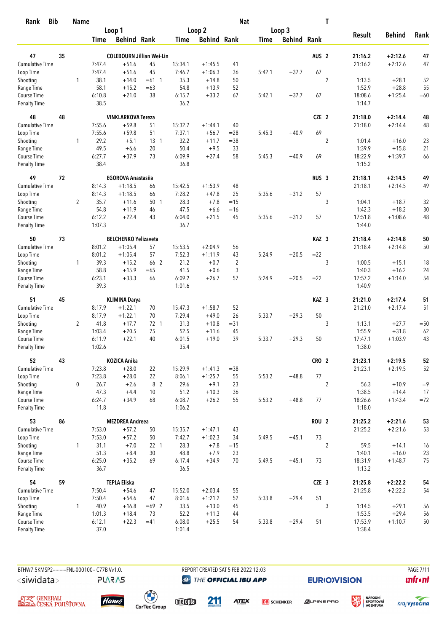| <b>Bib</b><br>Rank          |    | <b>Name</b>    |                |                                  |             |                |                    | <b>Nat</b> |             |                    |                  | T              |                    |                        |          |
|-----------------------------|----|----------------|----------------|----------------------------------|-------------|----------------|--------------------|------------|-------------|--------------------|------------------|----------------|--------------------|------------------------|----------|
|                             |    |                |                | Loop 1                           |             |                | Loop <sub>2</sub>  |            |             | Loop 3             |                  |                |                    |                        |          |
|                             |    |                | <b>Time</b>    | <b>Behind Rank</b>               |             | <b>Time</b>    | <b>Behind Rank</b> |            | <b>Time</b> | <b>Behind Rank</b> |                  |                | <b>Result</b>      | <b>Behind</b>          | Rank     |
|                             |    |                |                |                                  |             |                |                    |            |             |                    |                  |                |                    |                        |          |
| 47                          | 35 |                |                | <b>COLEBOURN Jillian Wei-Lin</b> |             |                |                    |            |             |                    | AUS <sub>2</sub> |                | 21:16.2            | $+2:12.6$              | 47       |
| <b>Cumulative Time</b>      |    |                | 7:47.4         | $+51.6$                          | 45          | 15:34.1        | $+1:45.5$          | 41         |             |                    | 67               |                | 21:16.2            | $+2:12.6$              | 47       |
| Loop Time                   |    |                | 7:47.4         | $+51.6$                          | 45          | 7:46.7         | $+1:06.3$          | 36         | 5:42.1      | $+37.7$            |                  |                |                    |                        |          |
| Shooting                    |    | 1              | 38.1<br>58.1   | $+14.0$                          | $=61$ 1     | 35.3           | $+14.8$<br>$+13.9$ | 50<br>52   |             |                    |                  | $\overline{2}$ | 1:13.5<br>1:52.9   | $+28.1$<br>$+28.8$     | 52<br>55 |
| Range Time<br>Course Time   |    |                | 6:10.8         | $+15.2$<br>$+21.0$               | $=63$<br>38 | 54.8<br>6:15.7 | $+33.2$            | 67         | 5:42.1      | $+37.7$            | 67               |                | 18:08.6            | $+1:25.4$              | $=60$    |
| <b>Penalty Time</b>         |    |                | 38.5           |                                  |             | 36.2           |                    |            |             |                    |                  |                | 1:14.7             |                        |          |
| 48                          | 48 |                |                | <b>VINKLARKOVA Tereza</b>        |             |                |                    |            |             |                    | CZE 2            |                | 21:18.0            | $+2:14.4$              | 48       |
| Cumulative Time             |    |                | 7:55.6         | $+59.8$                          | 51          | 15:32.7        | $+1:44.1$          | 40         |             |                    |                  |                | 21:18.0            | $+2:14.4$              | 48       |
| Loop Time                   |    |                | 7:55.6         | $+59.8$                          | 51          | 7:37.1         | $+56.7$            | $=28$      | 5:45.3      | $+40.9$            | 69               |                |                    |                        |          |
| Shooting                    |    | 1              | 29.2           | $+5.1$                           | $13-1$      | 32.2           | $+11.7$            | $= 38$     |             |                    |                  | $\overline{2}$ | 1:01.4             | $+16.0$                | 23       |
| Range Time                  |    |                | 49.5           | $+6.6$                           | 20          | 50.4           | $+9.5$             | 33         |             |                    |                  |                | 1:39.9             | $+15.8$                | 21       |
| Course Time                 |    |                | 6:27.7         | $+37.9$                          | 73          | 6:09.9         | $+27.4$            | 58         | 5:45.3      | $+40.9$            | 69               |                | 18:22.9            | $+1:39.7$              | 66       |
| <b>Penalty Time</b>         |    |                | 38.4           |                                  |             | 36.8           |                    |            |             |                    |                  |                | 1:15.2             |                        |          |
| 49                          | 72 |                |                | <b>EGOROVA Anastasiia</b>        |             |                |                    |            |             |                    | RUS <sub>3</sub> |                | 21:18.1            | $+2:14.5$              | 49       |
| Cumulative Time             |    |                | 8:14.3         | $+1:18.5$                        | 66          | 15:42.5        | $+1:53.9$          | 48         |             |                    |                  |                | 21:18.1            | $+2:14.5$              | 49       |
| Loop Time                   |    |                | 8:14.3         | $+1:18.5$                        | 66          | 7:28.2         | $+47.8$            | 25         | 5:35.6      | $+31.2$            | 57               |                |                    |                        |          |
| Shooting                    |    | $\overline{2}$ | 35.7           | $+11.6$                          | 50 1        | 28.3           | $+7.8$             | $=15$      |             |                    |                  | 3              | 1:04.1             | $+18.7$                | 32       |
| Range Time                  |    |                | 54.8           | $+11.9$                          | 46          | 47.5           | $+6.6$             | $=16$      |             |                    |                  |                | 1:42.3             | $+18.2$                | 30       |
| Course Time                 |    |                | 6:12.2         | $+22.4$                          | 43          | 6:04.0         | $+21.5$            | 45         | 5:35.6      | $+31.2$            | 57               |                | 17:51.8            | $+1:08.6$              | 48       |
| <b>Penalty Time</b>         |    |                | 1:07.3         |                                  |             | 36.7           |                    |            |             |                    |                  |                | 1:44.0             |                        |          |
| 50                          | 73 |                |                | <b>BELCHENKO Yelizaveta</b>      |             |                |                    |            |             |                    | KAZ <sub>3</sub> |                | 21:18.4            | $+2:14.8$              | 50       |
| Cumulative Time             |    |                | 8:01.2         | $+1:05.4$                        | 57          | 15:53.5        | $+2:04.9$          | 56         |             |                    |                  |                | 21:18.4            | $+2:14.8$              | 50       |
| Loop Time                   |    |                | 8:01.2         | $+1:05.4$                        | 57          | 7:52.3         | $+1:11.9$          | 43         | 5:24.9      | $+20.5$            | $= 22$           |                |                    |                        |          |
| Shooting                    |    | $\mathbf{1}$   | 39.3           | $+15.2$                          | 66 2        | 21.2           | $+0.7$             | 2          |             |                    |                  | 3              | 1:00.5             | $+15.1$                | 18       |
| Range Time                  |    |                | 58.8           | $+15.9$                          | $=65$       | 41.5           | $+0.6$             | 3          |             |                    |                  |                | 1:40.3             | $+16.2$                | 24       |
| Course Time                 |    |                | 6:23.1         | $+33.3$                          | 66          | 6:09.2         | $+26.7$            | 57         | 5:24.9      | $+20.5$            | $=22$            |                | 17:57.2            | $+1:14.0$              | 54       |
| <b>Penalty Time</b>         |    |                | 39.3           |                                  |             | 1:01.6         |                    |            |             |                    |                  |                | 1:40.9             |                        |          |
| 51                          | 45 |                |                | <b>KLIMINA Darya</b>             |             |                |                    |            |             |                    | KAZ <sub>3</sub> |                | 21:21.0            | $+2:17.4$              | 51       |
| Cumulative Time             |    |                | 8:17.9         | $+1:22.1$                        | 70          | 15:47.3        | $+1:58.7$          | 52         |             |                    |                  |                | 21:21.0            | $+2:17.4$              | 51       |
| Loop Time                   |    |                | 8:17.9         | $+1:22.1$                        | 70          | 7:29.4         | $+49.0$            | 26         | 5:33.7      | $+29.3$            | 50               |                |                    |                        |          |
| Shooting                    |    | $\overline{2}$ | 41.8           | $+17.7$                          | 72 1        | 31.3           | $+10.8$            | $= 31$     |             |                    |                  | 3              | 1:13.1             | $+27.7$                | $=50$    |
| Range Time                  |    |                | 1:03.4         | $+20.5$                          | 75          | 52.5           | $+11.6$            | 45         |             |                    |                  |                | 1:55.9             | $+31.8$                | 62       |
| Course Time                 |    |                | 6:11.9         | $+22.1$                          | 40          | 6:01.5         | $+19.0$            | 39         | 5:33.7      | $+29.3$            | 50               |                | 17:47.1            | $+1:03.9$              | 43       |
| <b>Penalty Time</b>         |    |                | 1:02.6         |                                  |             | 35.4           |                    |            |             |                    |                  |                | 1:38.0             |                        |          |
| 52                          | 43 |                |                | KOZICA Anika                     |             |                |                    |            |             |                    | CRO <sub>2</sub> |                | 21:23.1            | $+2:19.5$              | 52       |
| <b>Cumulative Time</b>      |    |                | 7:23.8         | $+28.0$                          | 22          | 15:29.9        | $+1:41.3$          | $= 38$     |             |                    |                  |                | 21:23.1            | $+2:19.5$              | 52       |
| Loop Time                   |    |                | 7:23.8         | $+28.0$                          | 22          | 8:06.1         | $+1:25.7$          | 55         | 5:53.2      | $+48.8$            | $77\,$           |                |                    |                        |          |
| Shooting                    |    | 0              | 26.7           | $+2.6$                           | 8 2         | 29.6           | $+9.1$             | 23         |             |                    |                  | $\overline{2}$ | 56.3               | $+10.9$                | $=9$     |
| Range Time                  |    |                | 47.3           | $+4.4$                           | 10          | 51.2           | $+10.3$            | 36         |             |                    |                  |                | 1:38.5             | $+14.4$                | 17       |
| Course Time                 |    |                | 6:24.7         | $+34.9$                          | 68          | 6:08.7         | $+26.2$            | 55         | 5:53.2      | $+48.8$            | 77               |                | 18:26.6            | $+1:43.4$              | $=72$    |
| Penalty Time                |    |                | 11.8           |                                  |             | 1:06.2         |                    |            |             |                    |                  |                | 1:18.0             |                        |          |
| 53                          | 86 |                |                | <b>MEZDREA Andreea</b>           |             |                |                    |            |             |                    | <b>ROU 2</b>     |                | 21:25.2            | $+2:21.6$              | 53       |
| <b>Cumulative Time</b>      |    |                | 7:53.0         | $+57.2$                          | 50          | 15:35.7        | $+1:47.1$          | 43         |             |                    |                  |                | 21:25.2            | $+2:21.6$              | 53       |
| Loop Time                   |    |                | 7:53.0         | $+57.2$                          | 50          | 7:42.7         | $+1:02.3$          | 34         | 5:49.5      | $+45.1$            | 73               |                |                    |                        |          |
| Shooting                    |    | $\mathbf{1}$   | 31.1           | $+7.0$                           | $22 \t1$    | 28.3           | $+7.8$             | $=15$      |             |                    |                  | $\overline{2}$ | 59.5               | $+14.1$                | 16       |
| Range Time                  |    |                | 51.3           | $+8.4$                           | 30          | 48.8           | $+7.9$             | 23         |             |                    |                  |                | 1:40.1             | $+16.0$                | 23       |
| Course Time<br>Penalty Time |    |                | 6:25.0<br>36.7 | $+35.2$                          | 69          | 6:17.4<br>36.5 | $+34.9$            | 70         | 5:49.5      | $+45.1$            | 73               |                | 18:31.9<br>1:13.2  | $+1:48.7$              | 75       |
|                             |    |                |                |                                  |             |                |                    |            |             |                    |                  |                |                    |                        |          |
| 54<br>Cumulative Time       | 59 |                | 7:50.4         | <b>TEPLA Eliska</b><br>$+54.6$   | 47          | 15:52.0        | $+2:03.4$          | 55         |             |                    | CZE <sub>3</sub> |                | 21:25.8<br>21:25.8 | $+2:22.2$<br>$+2:22.2$ | 54<br>54 |
| Loop Time                   |    |                | 7:50.4         | $+54.6$                          | 47          | 8:01.6         | $+1:21.2$          | 52         | 5:33.8      | $+29.4$            | 51               |                |                    |                        |          |
| Shooting                    |    | 1              | 40.9           | $+16.8$                          | $=69$ 2     | 33.5           | $+13.0$            | 45         |             |                    |                  | 3              | 1:14.5             | $+29.1$                | 56       |
| Range Time                  |    |                | 1:01.3         | $+18.4$                          | 73          | 52.2           | $+11.3$            | 44         |             |                    |                  |                | 1:53.5             | $+29.4$                | 56       |
| Course Time                 |    |                | 6:12.1         | $+22.3$                          | $=41$       | 6:08.0         | $+25.5$            | 54         | 5:33.8      | $+29.4$            | 51               |                | 17:53.9            | $+1:10.7$              | 50       |
| Penalty Time                |    |                | 37.0           |                                  |             | 1:01.4         |                    |            |             |                    |                  |                | 1:38.4             |                        |          |

BTHW7.5KMSP2----------FNL-000100-- C77B Vv1.0. <siwidata>

**PLARAS** 

REPORT CREATED SAT 5 FEB 2022 12:03 **@** THE OFFICIAL IBU APP

**EURIO)VISION** 

**PAGE 7/11 unfront** 





 $\begin{pmatrix} 1 \\ 1 \end{pmatrix}$ <br>CarTec Group

meona 211

**ATEX** 

**DB** SCHENKER

**ALPINE PRO** 



姿

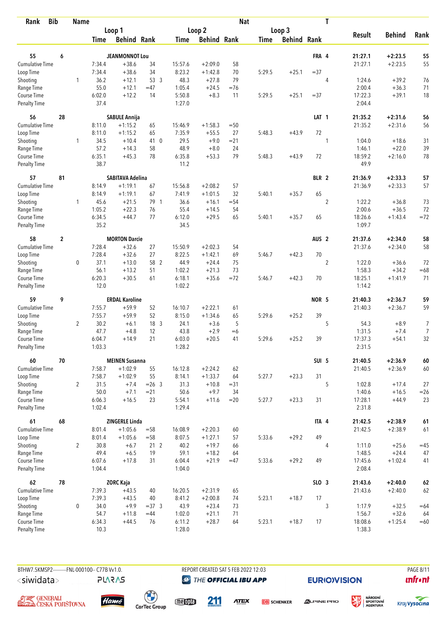| <b>Bib</b><br>Rank                 |                | <b>Name</b>    |                  |                         |                 |                  |                    | <b>Nat</b> |             |                    |                  | T                |                   |               |                  |
|------------------------------------|----------------|----------------|------------------|-------------------------|-----------------|------------------|--------------------|------------|-------------|--------------------|------------------|------------------|-------------------|---------------|------------------|
|                                    |                |                |                  | Loop 1                  |                 |                  | Loop 2             |            |             | Loop 3             |                  |                  |                   |               |                  |
|                                    |                |                | Time             | <b>Behind Rank</b>      |                 | Time             | <b>Behind Rank</b> |            | <b>Time</b> | <b>Behind Rank</b> |                  |                  | <b>Result</b>     | <b>Behind</b> | Rank             |
| 55                                 | 6              |                |                  | <b>JEANMONNOT Lou</b>   |                 |                  |                    |            |             |                    | FRA 4            |                  | 21:27.1           | $+2:23.5$     | 55               |
| <b>Cumulative Time</b>             |                |                | 7:34.4           | $+38.6$                 | 34              | 15:57.6          | $+2:09.0$          | 58         |             |                    |                  |                  | 21:27.1           | $+2:23.5$     | 55               |
| Loop Time                          |                |                | 7:34.4           | $+38.6$                 | 34              | 8:23.2           | $+1:42.8$          | 70         | 5:29.5      | $+25.1$            | $= 37$           |                  |                   |               |                  |
| Shooting                           |                | 1              | 36.2             | $+12.1$                 | 53 3            | 48.3             | $+27.8$            | 79         |             |                    |                  | $\overline{4}$   | 1:24.6            | $+39.2$       | 76               |
| Range Time                         |                |                | 55.0             | $+12.1$                 | $=47$           | 1:05.4           | $+24.5$            | $=76$      |             |                    |                  |                  | 2:00.4            | $+36.3$       | 71               |
| Course Time                        |                |                | 6:02.0           | $+12.2$                 | 14              | 5:50.8           | $+8.3$             | 11         | 5:29.5      | $+25.1$            | $= 37$           |                  | 17:22.3           | $+39.1$       | 18               |
| <b>Penalty Time</b>                |                |                | 37.4             |                         |                 | 1:27.0           |                    |            |             |                    |                  |                  | 2:04.4            |               |                  |
| 56                                 | 28             |                |                  | <b>SABULE Annija</b>    |                 |                  |                    |            |             |                    | LAT <sub>1</sub> |                  | 21:35.2           | $+2:31.6$     | 56               |
| Cumulative Time                    |                |                | 8:11.0           | $+1:15.2$               | 65              | 15:46.9          | $+1:58.3$          | $=50$      |             |                    |                  |                  | 21:35.2           | $+2:31.6$     | 56               |
| Loop Time                          |                |                | 8:11.0           | $+1:15.2$               | 65              | 7:35.9           | $+55.5$            | 27         | 5:48.3      | $+43.9$            | 72               |                  |                   |               |                  |
| Shooting                           |                | $\mathbf{1}$   | 34.5             | $+10.4$                 | 41 0            | 29.5             | $+9.0$             | $= 21$     |             |                    |                  | 1                | 1:04.0            | $+18.6$       | 31               |
| Range Time                         |                |                | 57.2             | $+14.3$                 | 58              | 48.9             | $+8.0$             | 24         |             |                    |                  |                  | 1:46.1            | $+22.0$       | 39               |
| Course Time                        |                |                | 6:35.1           | $+45.3$                 | 78              | 6:35.8           | $+53.3$            | 79         | 5:48.3      | $+43.9$            | 72               |                  | 18:59.2           | $+2:16.0$     | 78               |
| <b>Penalty Time</b>                |                |                | 38.7             |                         |                 | 11.2             |                    |            |             |                    |                  |                  | 49.9              |               |                  |
| 57                                 | 81             |                |                  | <b>SABITAVA Adelina</b> |                 |                  |                    |            |             |                    | BLR 2            |                  | 21:36.9           | $+2:33.3$     | 57               |
| <b>Cumulative Time</b>             |                |                | 8:14.9           | $+1:19.1$               | 67              | 15:56.8          | $+2:08.2$          | 57         |             |                    |                  |                  | 21:36.9           | $+2:33.3$     | 57               |
| Loop Time                          |                |                | 8:14.9           | $+1:19.1$               | 67              | 7:41.9           | $+1:01.5$          | 32         | 5:40.1      | $+35.7$            | 65               |                  |                   |               |                  |
| Shooting                           |                | 1              | 45.6             | $+21.5$                 | 79 1            | 36.6             | $+16.1$            | $= 54$     |             |                    |                  | $\boldsymbol{2}$ | 1:22.2            | $+36.8$       | 73               |
| Range Time                         |                |                | 1:05.2           | $+22.3$                 | 76              | 55.4             | $+14.5$            | 54         |             |                    |                  |                  | 2:00.6            | $+36.5$       | 72               |
| Course Time<br><b>Penalty Time</b> |                |                | 6:34.5<br>35.2   | $+44.7$                 | 77              | 6:12.0<br>34.5   | $+29.5$            | 65         | 5:40.1      | $+35.7$            | 65               |                  | 18:26.6<br>1:09.7 | $+1:43.4$     | $=72$            |
| 58                                 | $\overline{2}$ |                |                  | <b>MORTON Darcie</b>    |                 |                  |                    |            |             |                    | AUS <sub>2</sub> |                  | 21:37.6           | $+2:34.0$     | 58               |
| <b>Cumulative Time</b>             |                |                | 7:28.4           | $+32.6$                 | 27              | 15:50.9          | $+2:02.3$          | 54         |             |                    |                  |                  | 21:37.6           | $+2:34.0$     | 58               |
| Loop Time                          |                |                | 7:28.4           | $+32.6$                 | 27              | 8:22.5           | $+1:42.1$          | 69         | 5:46.7      | $+42.3$            | 70               |                  |                   |               |                  |
| Shooting                           |                | 0              | 37.1             | $+13.0$                 | 58 2            | 44.9             | $+24.4$            | 75         |             |                    |                  | $\overline{2}$   | 1:22.0            | $+36.6$       | 72               |
| Range Time                         |                |                | 56.1             | $+13.2$                 | 51              | 1:02.2           | $+21.3$            | 73         |             |                    |                  |                  | 1:58.3            | $+34.2$       | $=68$            |
| Course Time                        |                |                | 6:20.3           | $+30.5$                 | 61              | 6:18.1           | $+35.6$            | $=72$      | 5:46.7      | $+42.3$            | 70               |                  | 18:25.1           | $+1:41.9$     | 71               |
| <b>Penalty Time</b>                |                |                | 12.0             |                         |                 | 1:02.2           |                    |            |             |                    |                  |                  | 1:14.2            |               |                  |
| 59                                 | 9              |                |                  | <b>ERDAL Karoline</b>   |                 |                  |                    |            |             |                    | NOR 5            |                  | 21:40.3           | $+2:36.7$     | 59               |
| Cumulative Time                    |                |                | 7:55.7           | $+59.9$                 | 52              | 16:10.7          | $+2:22.1$          | 61         |             |                    |                  |                  | 21:40.3           | $+2:36.7$     | 59               |
| Loop Time                          |                |                | 7:55.7           | $+59.9$                 | 52              | 8:15.0           | $+1:34.6$          | 65         | 5:29.6      | $+25.2$            | 39               |                  |                   |               |                  |
| Shooting                           |                | $\overline{2}$ | 30.2             | $+6.1$                  | 18 3            | 24.1             | $+3.6$             | 5          |             |                    |                  | 5                | 54.3              | $+8.9$        | $\boldsymbol{7}$ |
| Range Time                         |                |                | 47.7             | $+4.8$                  | 12              | 43.8             | $+2.9$             | $=6$       |             |                    |                  |                  | 1:31.5            | $+7.4$        | $\overline{7}$   |
| Course Time                        |                |                | 6:04.7           | $+14.9$                 | 21              | 6:03.0           | $+20.5$            | 41         | 5:29.6      | $+25.2$            | 39               |                  | 17:37.3           | $+54.1$       | 32               |
| <b>Penalty Time</b>                |                |                | 1:03.3           |                         |                 | 1:28.2           |                    |            |             |                    |                  |                  | 2:31.5            |               |                  |
| 60                                 | 70             |                |                  | <b>MEINEN Susanna</b>   |                 |                  |                    |            |             |                    | SUI 5            |                  | 21:40.5           | $+2:36.9$     | $\bf 60$         |
| Cumulative Time                    |                |                | 7:58.7           | $+1:02.9$               | 55              | 16:12.8          | $+2:24.2$          | 62         |             |                    |                  |                  | 21:40.5           | $+2:36.9$     | $60\,$           |
| Loop Time                          |                |                | 7:58.7           | $+1:02.9$               | 55              | 8:14.1           | $+1:33.7$          | 64         | 5:27.7      | $+23.3$            | 31               |                  |                   |               |                  |
| Shooting                           |                | $\overline{2}$ | 31.5             | $+7.4$                  | $= 26$ 3        | 31.3             | $+10.8$            | $= 31$     |             |                    |                  | 5                | 1:02.8            | $+17.4$       | 27               |
| Range Time                         |                |                | $50.0$           | $+7.1$                  | $= 21$          | 50.6             | $+9.7$             | 34         |             |                    |                  |                  | 1:40.6            | $+16.5$       | $=26$            |
| Course Time<br>Penalty Time        |                |                | 6:06.3<br>1:02.4 | $+16.5$                 | 23              | 5:54.1<br>1:29.4 | $+11.6$            | $=20$      | 5:27.7      | $+23.3$            | 31               |                  | 17:28.1<br>2:31.8 | $+44.9$       | 23               |
| 61                                 | 68             |                |                  | ZINGERLE Linda          |                 |                  |                    |            |             |                    | ITA 4            |                  | 21:42.5           | $+2:38.9$     | $61\,$           |
| <b>Cumulative Time</b>             |                |                | 8:01.4           | $+1:05.6$               | $=58$           | 16:08.9          | $+2:20.3$          | 60         |             |                    |                  |                  | 21:42.5           | $+2:38.9$     | 61               |
| Loop Time                          |                |                | 8:01.4           | $+1:05.6$               | $=58$           | 8:07.5           | $+1:27.1$          | 57         | 5:33.6      | $+29.2$            | 49               |                  |                   |               |                  |
| Shooting                           |                | $\overline{2}$ | 30.8             | $+6.7$                  | 21 <sub>2</sub> | 40.2             | $+19.7$            | 66         |             |                    |                  | 4                | 1:11.0            | $+25.6$       | $=45$            |
| Range Time                         |                |                | 49.4             | $+6.5$                  | 19              | 59.1             | $+18.2$            | 64         |             |                    |                  |                  | 1:48.5            | $+24.4$       | 47               |
| Course Time                        |                |                | 6:07.6           | $+17.8$                 | 31              | 6:04.4           | $+21.9$            | $=47$      | 5:33.6      | $+29.2$            | 49               |                  | 17:45.6           | $+1:02.4$     | 41               |
| Penalty Time                       |                |                | 1:04.4           |                         |                 | 1:04.0           |                    |            |             |                    |                  |                  | 2:08.4            |               |                  |
| 62                                 | 78             |                |                  | <b>ZORC Kaja</b>        |                 |                  |                    |            |             |                    | SLO 3            |                  | 21:43.6           | $+2:40.0$     | $62\,$           |
| Cumulative Time                    |                |                | 7:39.3           | $+43.5$                 | 40              | 16:20.5          | $+2:31.9$          | 65         |             |                    |                  |                  | 21:43.6           | $+2:40.0$     | 62               |
| Loop Time                          |                |                | 7:39.3           | $+43.5$                 | 40              | 8:41.2           | $+2:00.8$          | 74         | 5:23.1      | $+18.7$            | 17               |                  |                   |               |                  |
| Shooting                           |                | 0              | 34.0             | $+9.9$                  | $=37.3$         | 43.9             | $+23.4$            | 73         |             |                    |                  | 3                | 1:17.9            | $+32.5$       | $=64$            |
| Range Time                         |                |                | 54.7             | $+11.8$                 | $=44$           | 1:02.0           | $+21.1$            | 71         |             |                    |                  |                  | 1:56.7            | $+32.6$       | 64               |
| Course Time                        |                |                | 6:34.3           | $+44.5$                 | 76              | 6:11.2           | $+28.7$            | 64         | 5:23.1      | $+18.7$            | 17               |                  | 18:08.6           | $+1:25.4$     | $=60$            |
| <b>Penalty Time</b>                |                |                | 10.3             |                         |                 | 1:28.0           |                    |            |             |                    |                  |                  | 1:38.3            |               |                  |



**PLARAS** 

REPORT CREATED SAT 5 FEB 2022 12:03 **@** THE OFFICIAL IBU APP

**EURIO)VISION** 

姿

**PAGE 8/11 unfront** 







meona

211

**ATEX DB** SCHENKER



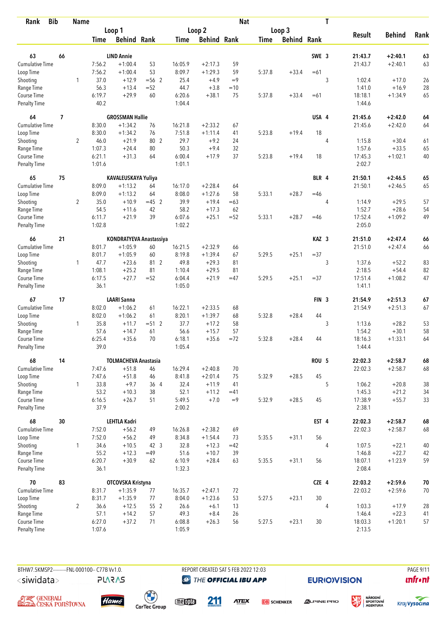| <b>Bib</b><br>Rank          |                | <b>Name</b>    |                |                             |                   |                  |                    | <b>Nat</b> |             |                    |                  | $\mathbf T$    |                   |                    |            |
|-----------------------------|----------------|----------------|----------------|-----------------------------|-------------------|------------------|--------------------|------------|-------------|--------------------|------------------|----------------|-------------------|--------------------|------------|
|                             |                |                |                | Loop 1                      |                   |                  | Loop 2             |            |             | Loop 3             |                  |                |                   |                    |            |
|                             |                |                | <b>Time</b>    | <b>Behind Rank</b>          |                   | <b>Time</b>      | <b>Behind Rank</b> |            | <b>Time</b> | <b>Behind Rank</b> |                  |                | <b>Result</b>     | <b>Behind</b>      | Rank       |
|                             |                |                |                |                             |                   |                  |                    |            |             |                    |                  |                |                   |                    |            |
| 63                          | 66             |                |                | <b>LIND Annie</b>           |                   |                  |                    |            |             |                    | SWE 3            |                | 21:43.7           | $+2:40.1$          | 63         |
| <b>Cumulative Time</b>      |                |                | 7:56.2         | $+1:00.4$                   | 53                | 16:05.9          | $+2:17.3$          | 59         |             |                    |                  |                | 21:43.7           | $+2:40.1$          | 63         |
| Loop Time                   |                |                | 7:56.2         | $+1:00.4$                   | 53                | 8:09.7           | $+1:29.3$          | 59<br>$=9$ | 5:37.8      | $+33.4$            | $=61$            |                |                   |                    |            |
| Shooting                    |                | 1              | 37.0<br>56.3   | $+12.9$                     | $= 56$ 2<br>$=52$ | 25.4             | $+4.9$             | $=10$      |             |                    |                  | 3              | 1:02.4            | $+17.0$<br>$+16.9$ | 26         |
| Range Time<br>Course Time   |                |                | 6:19.7         | $+13.4$<br>$+29.9$          | 60                | 44.7<br>6:20.6   | $+3.8$<br>$+38.1$  | 75         | 5:37.8      | $+33.4$            | $=61$            |                | 1:41.0<br>18:18.1 | $+1:34.9$          | 28<br>65   |
| <b>Penalty Time</b>         |                |                | 40.2           |                             |                   | 1:04.4           |                    |            |             |                    |                  |                | 1:44.6            |                    |            |
| 64                          | $\overline{1}$ |                |                | <b>GROSSMAN Hallie</b>      |                   |                  |                    |            |             |                    | USA 4            |                | 21:45.6           | $+2:42.0$          | 64         |
| <b>Cumulative Time</b>      |                |                | 8:30.0         | $+1:34.2$                   | 76                | 16:21.8          | $+2:33.2$          | 67         |             |                    |                  |                | 21:45.6           | $+2:42.0$          | 64         |
| Loop Time                   |                |                | 8:30.0         | $+1:34.2$                   | 76                | 7:51.8           | $+1:11.4$          | 41         | 5:23.8      | $+19.4$            | 18               |                |                   |                    |            |
| Shooting                    |                | $\overline{2}$ | 46.0           | $+21.9$                     | 80 2              | 29.7             | $+9.2$             | 24         |             |                    |                  | 4              | 1:15.8            | $+30.4$            | 61         |
| Range Time                  |                |                | 1:07.3         | $+24.4$                     | 80                | 50.3             | $+9.4$             | 32         |             |                    |                  |                | 1:57.6            | $+33.5$            | 65         |
| Course Time                 |                |                | 6:21.1         | $+31.3$                     | 64                | 6:00.4           | $+17.9$            | 37         | 5:23.8      | $+19.4$            | 18               |                | 17:45.3           | $+1:02.1$          | 40         |
| <b>Penalty Time</b>         |                |                | 1:01.6         |                             |                   | 1:01.1           |                    |            |             |                    |                  |                | 2:02.7            |                    |            |
| 65                          | 75             |                |                | KAVALEUSKAYA Yuliya         |                   |                  |                    |            |             |                    | BLR 4            |                | 21:50.1           | $+2:46.5$          | 65         |
| Cumulative Time             |                |                | 8:09.0         | $+1:13.2$                   | 64                | 16:17.0          | $+2:28.4$          | 64         |             |                    |                  |                | 21:50.1           | $+2:46.5$          | 65         |
| Loop Time                   |                |                | 8:09.0         | $+1:13.2$                   | 64                | 8:08.0           | $+1:27.6$          | 58         | 5:33.1      | $+28.7$            | $=46$            |                |                   |                    |            |
| Shooting                    |                | $\overline{2}$ | 35.0           | $+10.9$                     | $=45$ 2           | 39.9             | $+19.4$            | $=63$      |             |                    |                  | 4              | 1:14.9            | $+29.5$            | 57         |
| Range Time                  |                |                | 54.5           | $+11.6$                     | 42                | 58.2             | $+17.3$            | 62         |             |                    |                  |                | 1:52.7            | $+28.6$            | 54         |
| Course Time                 |                |                | 6:11.7         | $+21.9$                     | 39                | 6:07.6           | $+25.1$            | $=52$      | 5:33.1      | $+28.7$            | $=46$            |                | 17:52.4           | $+1:09.2$          | 49         |
| <b>Penalty Time</b>         |                |                | 1:02.8         |                             |                   | 1:02.2           |                    |            |             |                    |                  |                | 2:05.0            |                    |            |
| 66                          | 21             |                |                | KONDRATYEVA Anastassiya     |                   |                  |                    |            |             |                    | KAZ <sub>3</sub> |                | 21:51.0           | $+2:47.4$          | 66         |
| Cumulative Time             |                |                | 8:01.7         | $+1:05.9$                   | 60                | 16:21.5          | $+2:32.9$          | 66         |             |                    |                  |                | 21:51.0           | $+2:47.4$          | 66         |
| Loop Time                   |                |                | 8:01.7         | $+1:05.9$                   | 60                | 8:19.8           | $+1:39.4$          | 67         | 5:29.5      | $+25.1$            | $= 37$           |                |                   |                    |            |
| Shooting                    |                | $\mathbf{1}$   | 47.7           | $+23.6$                     | 81 2              | 49.8             | $+29.3$            | 81         |             |                    |                  | 3              | 1:37.6            | $+52.2$            | 83         |
| Range Time                  |                |                | 1:08.1         | $+25.2$                     | 81                | 1:10.4           | $+29.5$            | 81         |             |                    |                  |                | 2:18.5            | $+54.4$            | 82         |
| Course Time                 |                |                | 6:17.5         | $+27.7$                     | $=52$             | 6:04.4           | $+21.9$            | $=47$      | 5:29.5      | $+25.1$            | $= 37$           |                | 17:51.4           | $+1:08.2$          | 47         |
| <b>Penalty Time</b>         |                |                | 36.1           |                             |                   | 1:05.0           |                    |            |             |                    |                  |                | 1:41.1            |                    |            |
| 67                          | 17             |                |                | <b>LAARI Sanna</b>          |                   |                  |                    |            |             |                    | FIN <sub>3</sub> |                | 21:54.9           | $+2:51.3$          | 67         |
| <b>Cumulative Time</b>      |                |                | 8:02.0         | $+1:06.2$                   | 61                | 16:22.1          | $+2:33.5$          | 68         |             |                    |                  |                | 21:54.9           | $+2:51.3$          | 67         |
| Loop Time                   |                |                | 8:02.0         | $+1:06.2$                   | 61                | 8:20.1           | $+1:39.7$          | 68         | 5:32.8      | $+28.4$            | 44               |                |                   |                    |            |
| Shooting                    |                | $\mathbf{1}$   | 35.8           | $+11.7$                     | $= 512$           | 37.7             | $+17.2$            | 58         |             |                    |                  | 3              | 1:13.6            | $+28.2$            | 53         |
| Range Time                  |                |                | 57.6           | $+14.7$                     | 61                | 56.6             | $+15.7$            | 57         |             |                    |                  |                | 1:54.2            | $+30.1$            | 58         |
| Course Time                 |                |                | 6:25.4         | $+35.6$                     | 70                | 6:18.1           | $+35.6$            | $=72$      | 5:32.8      | $+28.4$            | 44               |                | 18:16.3           | $+1:33.1$          | 64         |
| <b>Penalty Time</b>         |                |                | 39.0           |                             |                   | 1:05.4           |                    |            |             |                    |                  |                | 1:44.4            |                    |            |
| 68                          | 14             |                |                | <b>TOLMACHEVA Anastasia</b> |                   |                  |                    |            |             |                    | ROU <sub>5</sub> |                | 22:02.3           | $+2:58.7$          | 68         |
| <b>Cumulative Time</b>      |                |                | 7:47.6         | $+51.8$                     | 46                | 16:29.4          | $+2:40.8$          | 70         |             |                    |                  |                | 22:02.3           | $+2:58.7$          | 68         |
| Loop Time                   |                |                | 7:47.6         | $+51.8$                     | 46                | 8:41.8           | $+2:01.4$          | 75         | 5:32.9      | $+28.5$            | 45               |                |                   |                    |            |
| Shooting                    |                | $\mathbf{1}$   | 33.8           | $+9.7$                      | 36 4              | 32.4             | $+11.9$            | 41         |             |                    |                  | 5              | 1:06.2            | $+20.8$            | 38         |
| Range Time                  |                |                | 53.2           | $+10.3$                     | 38                | 52.1             | $+11.2$            | $=41$      |             |                    |                  |                | 1:45.3            | $+21.2$            | 34         |
| Course Time<br>Penalty Time |                |                | 6:16.5<br>37.9 | $+26.7$                     | 51                | 5:49.5<br>2:00.2 | $+7.0$             | $=9$       | 5:32.9      | $+28.5$            | 45               |                | 17:38.9<br>2:38.1 | $+55.7$            | 33         |
| 68                          | 30             |                |                | <b>LEHTLA Kadri</b>         |                   |                  |                    |            |             |                    | EST 4            |                | 22:02.3           | $+2:58.7$          | 68         |
| <b>Cumulative Time</b>      |                |                | 7:52.0         | $+56.2$                     | 49                | 16:26.8          | $+2:38.2$          | 69         |             |                    |                  |                | 22:02.3           | $+2:58.7$          | 68         |
| Loop Time                   |                |                | 7:52.0         | $+56.2$                     | 49                | 8:34.8           | $+1:54.4$          | 73         | 5:35.5      | $+31.1$            | 56               |                |                   |                    |            |
| Shooting                    |                | $\mathbf{1}$   | 34.6           | $+10.5$                     | 42 3              | 32.8             | $+12.3$            | $=42$      |             |                    |                  | $\overline{4}$ | 1:07.5            | $+22.1$            | 40         |
| Range Time                  |                |                | 55.2           | $+12.3$                     | $=49$             | 51.6             | $+10.7$            | 39         |             |                    |                  |                | 1:46.8            | $+22.7$            | 42         |
| Course Time                 |                |                | 6:20.7         | $+30.9$                     | 62                | 6:10.9           | $+28.4$            | 63         | 5:35.5      | $+31.1$            | 56               |                | 18:07.1           | $+1:23.9$          | 59         |
| Penalty Time                |                |                | 36.1           |                             |                   | 1:32.3           |                    |            |             |                    |                  |                | 2:08.4            |                    |            |
| 70                          | 83             |                |                | OTCOVSKA Kristyna           |                   |                  |                    |            |             |                    | CZE 4            |                | 22:03.2           | $+2:59.6$          | ${\bf 70}$ |
| <b>Cumulative Time</b>      |                |                | 8:31.7         | $+1:35.9$                   | 77                | 16:35.7          | $+2:47.1$          | 72         |             |                    |                  |                | 22:03.2           | $+2:59.6$          | 70         |
| Loop Time                   |                |                | 8:31.7         | $+1:35.9$                   | 77                | 8:04.0           | $+1:23.6$          | 53         | 5:27.5      | $+23.1$            | 30               |                |                   |                    |            |
| Shooting                    |                | $\overline{2}$ | 36.6           | $+12.5$                     | 55 2              | 26.6             | $+6.1$             | 13         |             |                    |                  | 4              | 1:03.3            | $+17.9$            | 28         |
| Range Time                  |                |                | 57.1           | $+14.2$                     | 57                | 49.3             | $+8.4$             | 26         |             |                    |                  |                | 1:46.4            | $+22.3$            | 41         |
| Course Time                 |                |                | 6:27.0         | $+37.2$                     | 71                | 6:08.8           | $+26.3$            | 56         | 5:27.5      | $+23.1$            | 30               |                | 18:03.3           | $+1:20.1$          | 57         |
| Penalty Time                |                |                | 1:07.6         |                             |                   | 1:05.9           |                    |            |             |                    |                  |                | 2:13.5            |                    |            |

**PLARAS** 

BTHW7.5KMSP2---------FNL-000100-- C77B W1.0. REPORT CREATED SAT 5 FEB 2022 12:03 PAGE 9/11 **@** THE OFFICIAL IBU APP

**EURIO)VISION** 

姿







 $\begin{pmatrix} 1 \\ 1 \end{pmatrix}$ <br>CarTec Group meona

211

**ATEX DB** SCHENKER



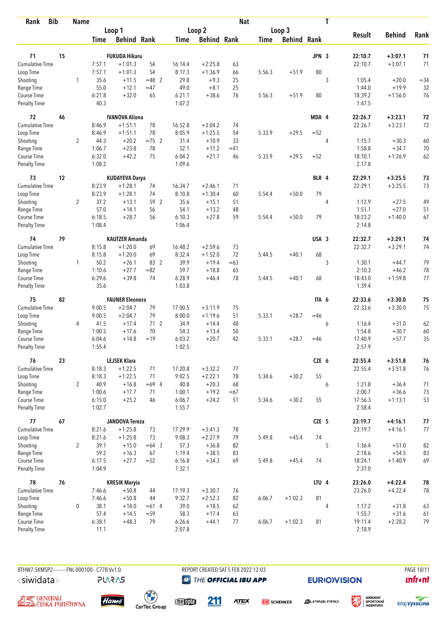| <b>Bib</b><br>Rank                 |    | <b>Name</b>    |                  |                        |          |                  |                    | <b>Nat</b>  |             |                    |       | T |                   |               |            |
|------------------------------------|----|----------------|------------------|------------------------|----------|------------------|--------------------|-------------|-------------|--------------------|-------|---|-------------------|---------------|------------|
|                                    |    |                |                  | Loop 1                 |          |                  | Loop 2             |             |             | Loop 3             |       |   |                   |               |            |
|                                    |    |                | Time             | <b>Behind Rank</b>     |          | Time             | <b>Behind Rank</b> |             | <b>Time</b> | <b>Behind Rank</b> |       |   | <b>Result</b>     | <b>Behind</b> | Rank       |
| 71                                 | 15 |                |                  | <b>FUKUDA Hikaru</b>   |          |                  |                    |             |             |                    | JPN 3 |   | 22:10.7           | $+3:07.1$     | 71         |
| <b>Cumulative Time</b>             |    |                | 7:57.1           | $+1:01.3$              | 54       | 16:14.4          | $+2:25.8$          | 63          |             |                    |       |   | 22:10.7           | $+3:07.1$     | 71         |
| Loop Time                          |    |                | 7:57.1           | $+1:01.3$              | 54       | 8:17.3           | $+1:36.9$          | 66          | 5:56.3      | $+51.9$            | 80    |   |                   |               |            |
| Shooting                           |    | 1              | 35.6             | $+11.5$                | $=48$ 2  | 29.8             | $+9.3$             | 25          |             |                    |       | 3 | 1:05.4            | $+20.0$       | $= 34$     |
| Range Time                         |    |                | 55.0             | $+12.1$                | $=47$    | 49.0             | $+8.1$             | 25          |             |                    |       |   | 1:44.0            | $+19.9$       | 32         |
| Course Time                        |    |                | 6:21.8           | $+32.0$                | 65       | 6:21.1           | $+38.6$            | 76          | 5:56.3      | $+51.9$            | 80    |   | 18:39.2           | $+1:56.0$     | 76         |
| <b>Penalty Time</b>                |    |                | 40.3             |                        |          | 1:07.2           |                    |             |             |                    |       |   | 1:47.5            |               |            |
| 72                                 | 46 |                |                  | <b>IVANOVA Aliona</b>  |          |                  |                    |             |             |                    | MDA 4 |   | 22:26.7           | $+3:23.1$     | 72         |
| <b>Cumulative Time</b>             |    |                | 8:46.9           | $+1:51.1$              | 78       | 16:52.8          | $+3:04.2$          | 74          |             |                    |       |   | 22:26.7           | $+3:23.1$     | 72         |
| Loop Time                          |    |                | 8:46.9           | $+1:51.1$              | 78       | 8:05.9           | $+1:25.5$          | 54          | 5:33.9      | $+29.5$            | $=52$ |   |                   |               |            |
| Shooting                           |    | $\overline{2}$ | 44.3             | $+20.2$                | $=75$ 2  | 31.4             | $+10.9$            | 33          |             |                    |       | 4 | 1:15.7            | $+30.3$       | 60         |
| Range Time                         |    |                | 1:06.7           | $+23.8$                | 78       | 52.1             | $+11.2$            | $=41$       |             |                    |       |   | 1:58.8            | $+34.7$       | 70         |
| Course Time                        |    |                | 6:32.0           | $+42.2$                | 75       | 6:04.2           | $+21.7$            | 46          | 5:33.9      | $+29.5$            | $=52$ |   | 18:10.1           | $+1:26.9$     | 62         |
| Penalty Time                       |    |                | 1:08.2           |                        |          | 1:09.6           |                    |             |             |                    |       |   | 2:17.8            |               |            |
| 73                                 | 12 |                |                  | <b>KUDAYEVA Darya</b>  |          |                  |                    |             |             |                    | BLR 4 |   | 22:29.1           | $+3:25.5$     | 73         |
| <b>Cumulative Time</b>             |    |                | 8:23.9           | $+1:28.1$              | 74       | 16:34.7          | $+2:46.1$          | 71          |             |                    |       |   | 22:29.1           | $+3:25.5$     | 73         |
| Loop Time                          |    |                | 8:23.9           | $+1:28.1$              | 74       | 8:10.8           | $+1:30.4$          | 60          | 5:54.4      | $+50.0$            | 79    |   |                   |               |            |
| Shooting                           |    | $\overline{2}$ | 37.2             | $+13.1$                | 59 2     | 35.6             | $+15.1$            | 51          |             |                    |       | 4 | 1:12.9            | $+27.5$       | 49         |
| Range Time                         |    |                | 57.0<br>6:18.5   | $+14.1$<br>$+28.7$     | 56       | 54.1<br>6:10.3   | $+13.2$            | 48<br>59    |             |                    | 79    |   | 1:51.1<br>18:23.2 | $+27.0$       | 51<br>67   |
| Course Time<br><b>Penalty Time</b> |    |                | 1:08.4           |                        | 56       | 1:06.4           | $+27.8$            |             | 5:54.4      | $+50.0$            |       |   | 2:14.8            | $+1:40.0$     |            |
| 74                                 | 79 |                |                  | <b>KAUTZER Amanda</b>  |          |                  |                    |             |             |                    | USA 3 |   | 22:32.7           | $+3:29.1$     | 74         |
| <b>Cumulative Time</b>             |    |                | 8:15.8           | $+1:20.0$              | 69       | 16:48.2          | $+2:59.6$          | 73          |             |                    |       |   | 22:32.7           | $+3:29.1$     | 74         |
| Loop Time                          |    |                | 8:15.8           | $+1:20.0$              | 69       | 8:32.4           | $+1:52.0$          | 72          | 5:44.5      | $+40.1$            | 68    |   |                   |               |            |
| Shooting                           |    | 1              | 50.2             | $+26.1$                | 83 2     | 39.9             | $+19.4$            | $=63$       |             |                    |       | 3 | 1:30.1            | $+44.7$       | 79         |
| Range Time                         |    |                | 1:10.6           | $+27.7$                | $= 82$   | 59.7             | $+18.8$            | 65          |             |                    |       |   | 2:10.3            | $+46.2$       | 78         |
| Course Time                        |    |                | 6:29.6           | $+39.8$                | 74       | 6:28.9           | $+46.4$            | 78          | 5:44.5      | $+40.1$            | 68    |   | 18:43.0           | $+1:59.8$     | 77         |
| <b>Penalty Time</b>                |    |                | 35.6             |                        |          | 1:03.8           |                    |             |             |                    |       |   | 1:39.4            |               |            |
| 75                                 | 82 |                |                  | <b>FAUNER Eleonora</b> |          |                  |                    |             |             |                    | ITA 6 |   | 22:33.6           | $+3:30.0$     | 75         |
| <b>Cumulative Time</b>             |    |                | 9:00.5           | $+2:04.7$              | 79       | 17:00.5          | $+3:11.9$          | 75          |             |                    |       |   | 22:33.6           | $+3:30.0$     | 75         |
| Loop Time                          |    |                | 9:00.5           | $+2:04.7$              | 79       | 8:00.0           | $+1:19.6$          | 51          | 5:33.1      | $+28.7$            | $=46$ |   |                   |               |            |
| Shooting                           |    | 4              | 41.5             | $+17.4$                | 712      | 34.9             | $+14.4$            | 48          |             |                    |       | 6 | 1:16.4            | $+31.0$       | 62         |
| Range Time                         |    |                | 1:00.5           | $+17.6$                | 70       | 54.3             | $+13.4$            | 50          |             |                    |       |   | 1:54.8            | $+30.7$       | 60         |
| Course Time                        |    |                | 6:04.6           | $+14.8$                | $=19$    | 6:03.2           | $+20.7$            | 42          | 5:33.1      | $+28.7$            | $=46$ |   | 17:40.9           | $+57.7$       | 35         |
| Penalty Time                       |    |                | 1:55.4           |                        |          | 1:02.5           |                    |             |             |                    |       |   | 2:57.9            |               |            |
| 76                                 | 23 |                |                  | <b>LEJSEK Klara</b>    |          |                  |                    |             |             |                    | CZE 6 |   | 22:55.4           | $+3:51.8$     | 76         |
| Cumulative Time                    |    |                | 8:18.3           | $+1:22.5$              | 71       | 17:20.8          | $+3:32.2$          | 77          |             |                    |       |   | 22:55.4           | $+3:51.8$     | 76         |
| Loop Time                          |    |                | 8:18.3           | $+1:22.5$              | 71       | 9:02.5           | $+2:22.1$          | 78          | 5:34.6      | $+30.2$            | 55    |   |                   |               |            |
| Shooting                           |    | $\overline{2}$ | 40.9             | $+16.8$                | $=69$ 4  | 40.8             | $+20.3$            | 68          |             |                    |       | 6 | 1:21.8            | $+36.4$       | 71         |
| Range Time<br>Course Time          |    |                | 1:00.6           | $+17.7$                | 71<br>46 | 1:00.1<br>6:06.7 | $+19.2$            | $=67$<br>51 | 5:34.6      |                    | 55    |   | 2:00.7            | $+36.6$       | 73         |
| Penalty Time                       |    |                | 6:15.0<br>1:02.7 | $+25.2$                |          | 1:55.7           | $+24.2$            |             |             | $+30.2$            |       |   | 17:56.3<br>2:58.4 | $+1:13.1$     | 53         |
| 77                                 | 67 |                |                  | <b>JANDOVA Tereza</b>  |          |                  |                    |             |             |                    | CZE 5 |   | 23:19.7           | $+4:16.1$     | $77$       |
| <b>Cumulative Time</b>             |    |                | 8:21.6           | $+1:25.8$              | 73       | 17:29.9          | $+3:41.3$          | 78          |             |                    |       |   | 23:19.7           | $+4:16.1$     | 77         |
| Loop Time                          |    |                | 8:21.6           | $+1:25.8$              | 73       | 9:08.3           | $+2:27.9$          | 79          | 5:49.8      | $+45.4$            | 74    |   |                   |               |            |
| Shooting                           |    | $\overline{2}$ | 39.1             | $+15.0$                | $=64$ 3  | 57.3             | $+36.8$            | 82          |             |                    |       | 5 | 1:36.4            | $+51.0$       | 82         |
| Range Time                         |    |                | 59.2             | $+16.3$                | 67       | 1:19.4           | $+38.5$            | 83          |             |                    |       |   | 2:18.6            | $+54.5$       | 83         |
| Course Time                        |    |                | 6:17.5           | $+27.7$                | $=52$    | 6:16.8           | $+34.3$            | 69          | 5:49.8      | $+45.4$            | 74    |   | 18:24.1           | $+1:40.9$     | 69         |
| <b>Penalty Time</b>                |    |                | 1:04.9           |                        |          | 1:32.1           |                    |             |             |                    |       |   | 2:37.0            |               |            |
| 78                                 | 76 |                |                  | <b>KRESIK Maryia</b>   |          |                  |                    |             |             |                    | LTU 4 |   | 23:26.0           | $+4:22.4$     | ${\bf 78}$ |
| Cumulative Time                    |    |                | 7:46.6           | $+50.8$                | 44       | 17:19.3          | $+3:30.7$          | 76          |             |                    |       |   | 23:26.0           | $+4:22.4$     | 78         |
| Loop Time                          |    |                | 7:46.6           | $+50.8$                | 44       | 9:32.7           | $+2:52.3$          | 82          | 6:06.7      | $+1:02.3$          | 81    |   |                   |               |            |
| Shooting                           |    | 0              | 38.1             | $+14.0$                | $=61$ 4  | 39.0             | $+18.5$            | 62          |             |                    |       | 4 | 1:17.2            | $+31.8$       | 63         |
| Range Time                         |    |                | 57.4             | $+14.5$                | $= 59$   | 58.3             | $+17.4$            | 63          |             |                    |       |   | 1:55.7            | $+31.6$       | 61         |
| Course Time                        |    |                | 6:38.1           | $+48.3$                | 79       | 6:26.6           | $+44.1$            | 77          | 6:06.7      | $+1:02.3$          | 81    |   | 19:11.4           | $+2:28.2$     | 79         |
| Penalty Time                       |    |                | 11.1             |                        |          | 2:07.8           |                    |             |             |                    |       |   | 2:18.9            |               |            |

**PLARAS** 

BTHW7.5KMSP2---------FNL-000100-- C77B W1.0. REPORT CREATED SAT 5 FEB 2022 12:03 PAGE 10/11 **@** THE OFFICIAL IBU APP

**EURIO)VISION** 

**unfront** 





meona

211

**ATEX DB** SCHENKER